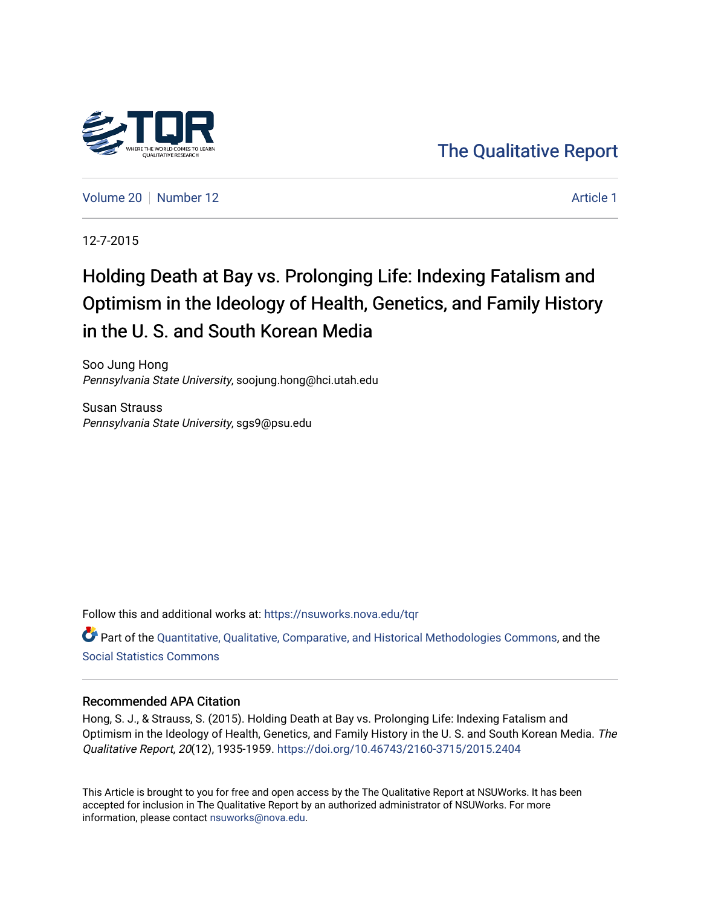

[The Qualitative Report](https://nsuworks.nova.edu/tqr) 

[Volume 20](https://nsuworks.nova.edu/tqr/vol20) [Number 12](https://nsuworks.nova.edu/tqr/vol20/iss12) Article 1

12-7-2015

# Holding Death at Bay vs. Prolonging Life: Indexing Fatalism and Optimism in the Ideology of Health, Genetics, and Family History in the U. S. and South Korean Media

Soo Jung Hong Pennsylvania State University, soojung.hong@hci.utah.edu

Susan Strauss Pennsylvania State University, sgs9@psu.edu

Follow this and additional works at: [https://nsuworks.nova.edu/tqr](https://nsuworks.nova.edu/tqr?utm_source=nsuworks.nova.edu%2Ftqr%2Fvol20%2Fiss12%2F1&utm_medium=PDF&utm_campaign=PDFCoverPages) 

Part of the [Quantitative, Qualitative, Comparative, and Historical Methodologies Commons,](http://network.bepress.com/hgg/discipline/423?utm_source=nsuworks.nova.edu%2Ftqr%2Fvol20%2Fiss12%2F1&utm_medium=PDF&utm_campaign=PDFCoverPages) and the [Social Statistics Commons](http://network.bepress.com/hgg/discipline/1275?utm_source=nsuworks.nova.edu%2Ftqr%2Fvol20%2Fiss12%2F1&utm_medium=PDF&utm_campaign=PDFCoverPages) 

#### Recommended APA Citation

Hong, S. J., & Strauss, S. (2015). Holding Death at Bay vs. Prolonging Life: Indexing Fatalism and Optimism in the Ideology of Health, Genetics, and Family History in the U. S. and South Korean Media. The Qualitative Report, 20(12), 1935-1959.<https://doi.org/10.46743/2160-3715/2015.2404>

This Article is brought to you for free and open access by the The Qualitative Report at NSUWorks. It has been accepted for inclusion in The Qualitative Report by an authorized administrator of NSUWorks. For more information, please contact [nsuworks@nova.edu.](mailto:nsuworks@nova.edu)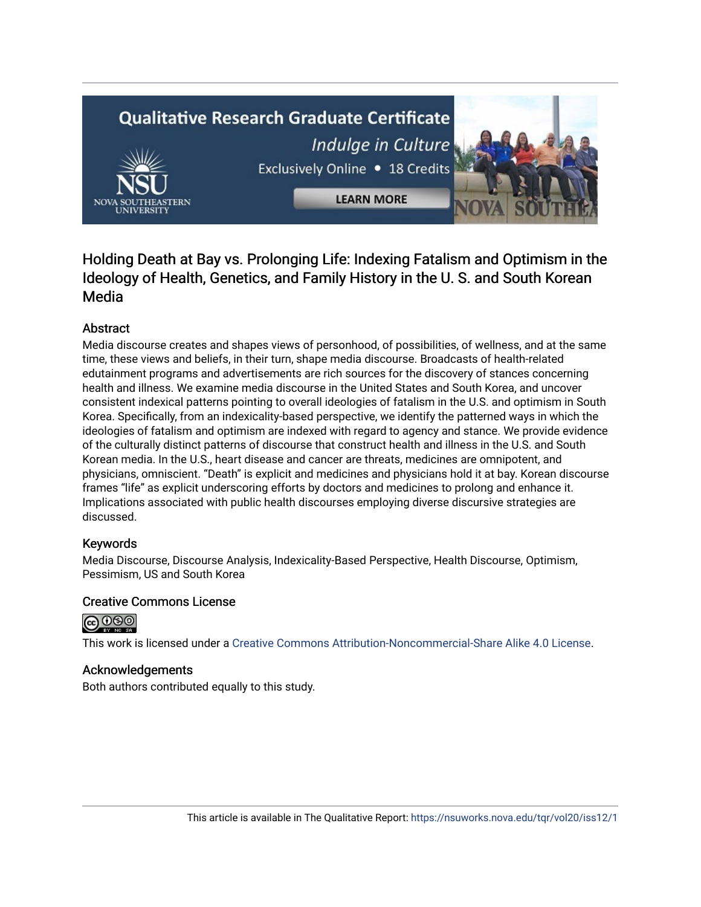# **Qualitative Research Graduate Certificate** Indulge in Culture Exclusively Online . 18 Credits



**LEARN MORE** 

# Holding Death at Bay vs. Prolonging Life: Indexing Fatalism and Optimism in the Ideology of Health, Genetics, and Family History in the U. S. and South Korean Media

# Abstract

Media discourse creates and shapes views of personhood, of possibilities, of wellness, and at the same time, these views and beliefs, in their turn, shape media discourse. Broadcasts of health-related edutainment programs and advertisements are rich sources for the discovery of stances concerning health and illness. We examine media discourse in the United States and South Korea, and uncover consistent indexical patterns pointing to overall ideologies of fatalism in the U.S. and optimism in South Korea. Specifically, from an indexicality-based perspective, we identify the patterned ways in which the ideologies of fatalism and optimism are indexed with regard to agency and stance. We provide evidence of the culturally distinct patterns of discourse that construct health and illness in the U.S. and South Korean media. In the U.S., heart disease and cancer are threats, medicines are omnipotent, and physicians, omniscient. "Death" is explicit and medicines and physicians hold it at bay. Korean discourse frames "life" as explicit underscoring efforts by doctors and medicines to prolong and enhance it. Implications associated with public health discourses employing diverse discursive strategies are discussed.

# Keywords

Media Discourse, Discourse Analysis, Indexicality-Based Perspective, Health Discourse, Optimism, Pessimism, US and South Korea

# Creative Commons License



This work is licensed under a [Creative Commons Attribution-Noncommercial-Share Alike 4.0 License](https://creativecommons.org/licenses/by-nc-sa/4.0/).

# Acknowledgements

Both authors contributed equally to this study.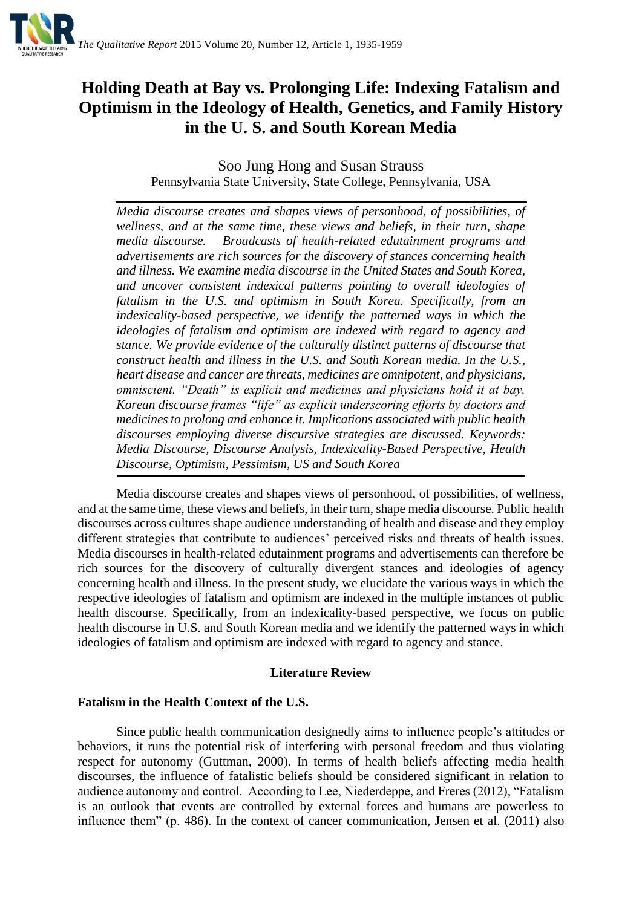

# **Holding Death at Bay vs. Prolonging Life: Indexing Fatalism and Optimism in the Ideology of Health, Genetics, and Family History in the U. S. and South Korean Media**

Soo Jung Hong and Susan Strauss Pennsylvania State University, State College, Pennsylvania, USA

*Media discourse creates and shapes views of personhood, of possibilities, of wellness, and at the same time, these views and beliefs, in their turn, shape media discourse. Broadcasts of health-related edutainment programs and advertisements are rich sources for the discovery of stances concerning health and illness. We examine media discourse in the United States and South Korea, and uncover consistent indexical patterns pointing to overall ideologies of fatalism in the U.S. and optimism in South Korea. Specifically, from an indexicality-based perspective, we identify the patterned ways in which the ideologies of fatalism and optimism are indexed with regard to agency and stance. We provide evidence of the culturally distinct patterns of discourse that construct health and illness in the U.S. and South Korean media. In the U.S., heart disease and cancer are threats, medicines are omnipotent, and physicians, omniscient. "Death" is explicit and medicines and physicians hold it at bay. Korean discourse frames "life" as explicit underscoring efforts by doctors and medicines to prolong and enhance it. Implications associated with public health discourses employing diverse discursive strategies are discussed. Keywords: Media Discourse, Discourse Analysis, Indexicality-Based Perspective, Health Discourse, Optimism, Pessimism, US and South Korea*

Media discourse creates and shapes views of personhood, of possibilities, of wellness, and at the same time, these views and beliefs, in their turn, shape media discourse. Public health discourses across cultures shape audience understanding of health and disease and they employ different strategies that contribute to audiences' perceived risks and threats of health issues. Media discourses in health-related edutainment programs and advertisements can therefore be rich sources for the discovery of culturally divergent stances and ideologies of agency concerning health and illness. In the present study, we elucidate the various ways in which the respective ideologies of fatalism and optimism are indexed in the multiple instances of public health discourse. Specifically, from an indexicality-based perspective, we focus on public health discourse in U.S. and South Korean media and we identify the patterned ways in which ideologies of fatalism and optimism are indexed with regard to agency and stance.

### **Literature Review**

### **Fatalism in the Health Context of the U.S.**

Since public health communication designedly aims to influence people's attitudes or behaviors, it runs the potential risk of interfering with personal freedom and thus violating respect for autonomy (Guttman, 2000). In terms of health beliefs affecting media health discourses, the influence of fatalistic beliefs should be considered significant in relation to audience autonomy and control. According to Lee, Niederdeppe, and Freres (2012), "Fatalism is an outlook that events are controlled by external forces and humans are powerless to influence them" (p. 486). In the context of cancer communication, Jensen et al. (2011) also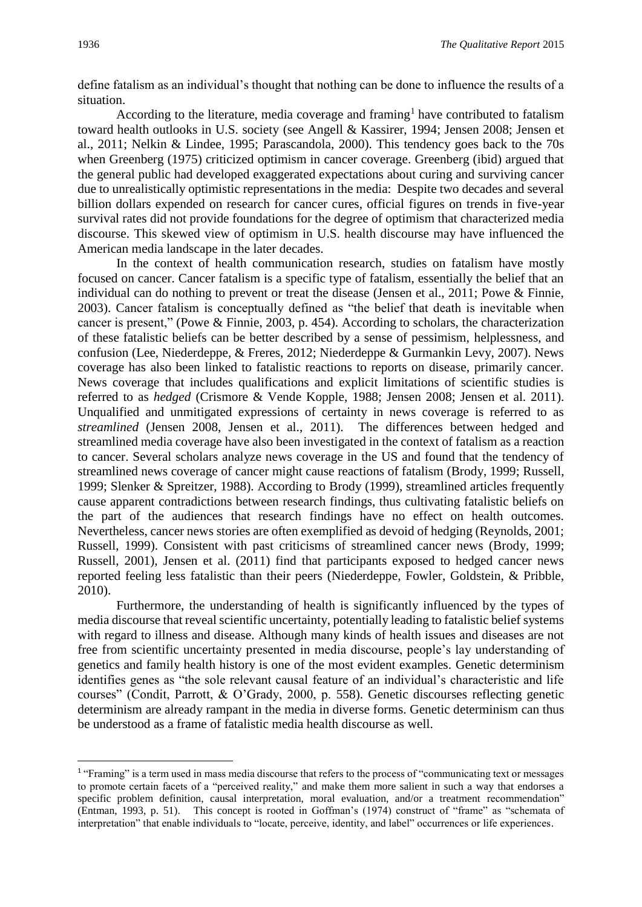define fatalism as an individual's thought that nothing can be done to influence the results of a situation.

According to the literature, media coverage and framing<sup>1</sup> have contributed to fatalism toward health outlooks in U.S. society (see Angell & Kassirer, 1994; Jensen 2008; Jensen et al., 2011; Nelkin & Lindee, 1995; Parascandola, 2000). This tendency goes back to the 70s when Greenberg (1975) criticized optimism in cancer coverage. Greenberg (ibid) argued that the general public had developed exaggerated expectations about curing and surviving cancer due to unrealistically optimistic representations in the media: Despite two decades and several billion dollars expended on research for cancer cures, official figures on trends in five-year survival rates did not provide foundations for the degree of optimism that characterized media discourse. This skewed view of optimism in U.S. health discourse may have influenced the American media landscape in the later decades.

In the context of health communication research, studies on fatalism have mostly focused on cancer. Cancer fatalism is a specific type of fatalism, essentially the belief that an individual can do nothing to prevent or treat the disease (Jensen et al., 2011; Powe & Finnie, 2003). Cancer fatalism is conceptually defined as "the belief that death is inevitable when cancer is present," (Powe & Finnie, 2003, p. 454). According to scholars, the characterization of these fatalistic beliefs can be better described by a sense of pessimism, helplessness, and confusion (Lee, Niederdeppe, & Freres, 2012; Niederdeppe & Gurmankin Levy, 2007). News coverage has also been linked to fatalistic reactions to reports on disease, primarily cancer. News coverage that includes qualifications and explicit limitations of scientific studies is referred to as *hedged* (Crismore & Vende Kopple, 1988; Jensen 2008; Jensen et al. 2011). Unqualified and unmitigated expressions of certainty in news coverage is referred to as *streamlined* (Jensen 2008, Jensen et al., 2011). The differences between hedged and streamlined media coverage have also been investigated in the context of fatalism as a reaction to cancer. Several scholars analyze news coverage in the US and found that the tendency of streamlined news coverage of cancer might cause reactions of fatalism (Brody, 1999; Russell, 1999; Slenker & Spreitzer, 1988). According to Brody (1999), streamlined articles frequently cause apparent contradictions between research findings, thus cultivating fatalistic beliefs on the part of the audiences that research findings have no effect on health outcomes. Nevertheless, cancer news stories are often exemplified as devoid of hedging (Reynolds, 2001; Russell, 1999). Consistent with past criticisms of streamlined cancer news (Brody, 1999; Russell, 2001), Jensen et al. (2011) find that participants exposed to hedged cancer news reported feeling less fatalistic than their peers (Niederdeppe, Fowler, Goldstein, & Pribble, 2010).

Furthermore, the understanding of health is significantly influenced by the types of media discourse that reveal scientific uncertainty, potentially leading to fatalistic belief systems with regard to illness and disease. Although many kinds of health issues and diseases are not free from scientific uncertainty presented in media discourse, people's lay understanding of genetics and family health history is one of the most evident examples. Genetic determinism identifies genes as "the sole relevant causal feature of an individual's characteristic and life courses" (Condit, Parrott, & O'Grady, 2000, p. 558). Genetic discourses reflecting genetic determinism are already rampant in the media in diverse forms. Genetic determinism can thus be understood as a frame of fatalistic media health discourse as well.

1

<sup>&</sup>lt;sup>1</sup> "Framing" is a term used in mass media discourse that refers to the process of "communicating text or messages to promote certain facets of a "perceived reality," and make them more salient in such a way that endorses a specific problem definition, causal interpretation, moral evaluation, and/or a treatment recommendation" (Entman, 1993, p. 51). This concept is rooted in Goffman's (1974) construct of "frame" as "schemata of interpretation" that enable individuals to "locate, perceive, identity, and label" occurrences or life experiences.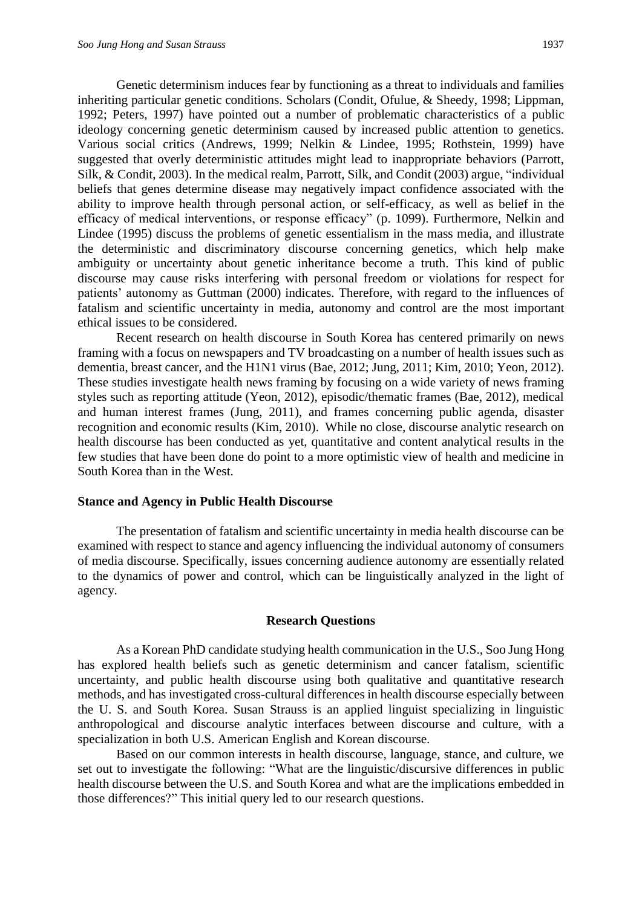Genetic determinism induces fear by functioning as a threat to individuals and families inheriting particular genetic conditions. Scholars (Condit, Ofulue, & Sheedy, 1998; Lippman, 1992; Peters, 1997) have pointed out a number of problematic characteristics of a public ideology concerning genetic determinism caused by increased public attention to genetics. Various social critics (Andrews, 1999; Nelkin & Lindee, 1995; Rothstein, 1999) have suggested that overly deterministic attitudes might lead to inappropriate behaviors (Parrott, Silk, & Condit, 2003). In the medical realm, Parrott, Silk, and Condit (2003) argue, "individual beliefs that genes determine disease may negatively impact confidence associated with the ability to improve health through personal action, or self-efficacy, as well as belief in the efficacy of medical interventions, or response efficacy" (p. 1099). Furthermore, Nelkin and Lindee (1995) discuss the problems of genetic essentialism in the mass media, and illustrate the deterministic and discriminatory discourse concerning genetics, which help make ambiguity or uncertainty about genetic inheritance become a truth. This kind of public discourse may cause risks interfering with personal freedom or violations for respect for patients' autonomy as Guttman (2000) indicates. Therefore, with regard to the influences of fatalism and scientific uncertainty in media, autonomy and control are the most important ethical issues to be considered.

Recent research on health discourse in South Korea has centered primarily on news framing with a focus on newspapers and TV broadcasting on a number of health issues such as dementia, breast cancer, and the H1N1 virus (Bae, 2012; Jung, 2011; Kim, 2010; Yeon, 2012). These studies investigate health news framing by focusing on a wide variety of news framing styles such as reporting attitude (Yeon, 2012), episodic/thematic frames (Bae, 2012), medical and human interest frames (Jung, 2011), and frames concerning public agenda, disaster recognition and economic results (Kim, 2010). While no close, discourse analytic research on health discourse has been conducted as yet, quantitative and content analytical results in the few studies that have been done do point to a more optimistic view of health and medicine in South Korea than in the West.

#### **Stance and Agency in Public Health Discourse**

The presentation of fatalism and scientific uncertainty in media health discourse can be examined with respect to stance and agency influencing the individual autonomy of consumers of media discourse. Specifically, issues concerning audience autonomy are essentially related to the dynamics of power and control, which can be linguistically analyzed in the light of agency.

#### **Research Questions**

As a Korean PhD candidate studying health communication in the U.S., Soo Jung Hong has explored health beliefs such as genetic determinism and cancer fatalism, scientific uncertainty, and public health discourse using both qualitative and quantitative research methods, and has investigated cross-cultural differences in health discourse especially between the U. S. and South Korea. Susan Strauss is an applied linguist specializing in linguistic anthropological and discourse analytic interfaces between discourse and culture, with a specialization in both U.S. American English and Korean discourse.

Based on our common interests in health discourse, language, stance, and culture, we set out to investigate the following: "What are the linguistic/discursive differences in public health discourse between the U.S. and South Korea and what are the implications embedded in those differences?" This initial query led to our research questions.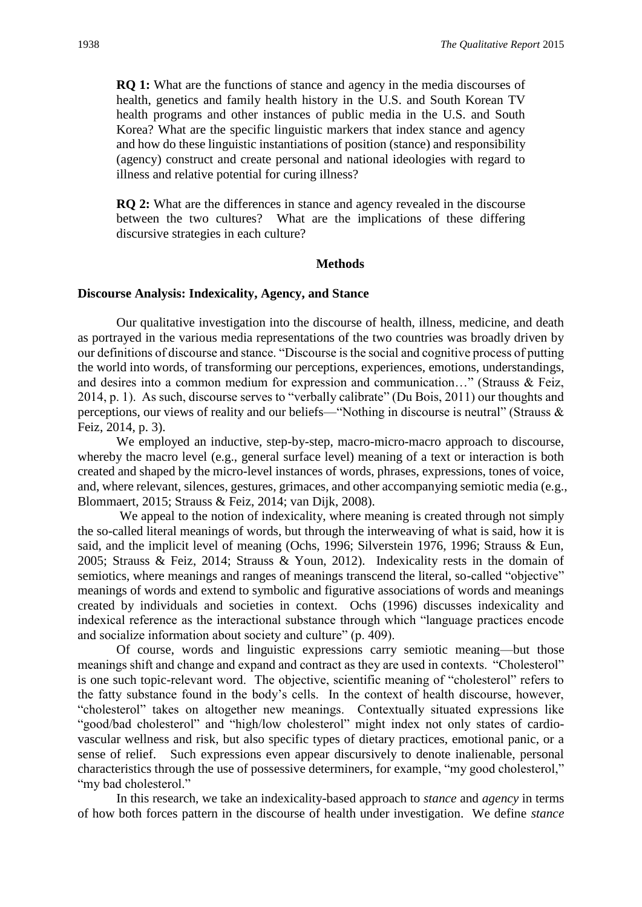**RQ 1:** What are the functions of stance and agency in the media discourses of health, genetics and family health history in the U.S. and South Korean TV health programs and other instances of public media in the U.S. and South Korea? What are the specific linguistic markers that index stance and agency and how do these linguistic instantiations of position (stance) and responsibility (agency) construct and create personal and national ideologies with regard to illness and relative potential for curing illness?

**RQ 2:** What are the differences in stance and agency revealed in the discourse between the two cultures? What are the implications of these differing discursive strategies in each culture?

#### **Methods**

#### **Discourse Analysis: Indexicality, Agency, and Stance**

Our qualitative investigation into the discourse of health, illness, medicine, and death as portrayed in the various media representations of the two countries was broadly driven by our definitions of discourse and stance. "Discourse is the social and cognitive process of putting the world into words, of transforming our perceptions, experiences, emotions, understandings, and desires into a common medium for expression and communication…" (Strauss & Feiz, 2014, p. 1). As such, discourse serves to "verbally calibrate" (Du Bois, 2011) our thoughts and perceptions, our views of reality and our beliefs—"Nothing in discourse is neutral" (Strauss & Feiz, 2014, p. 3).

We employed an inductive, step-by-step, macro-micro-macro approach to discourse, whereby the macro level (e.g., general surface level) meaning of a text or interaction is both created and shaped by the micro-level instances of words, phrases, expressions, tones of voice, and, where relevant, silences, gestures, grimaces, and other accompanying semiotic media (e.g., Blommaert, 2015; Strauss & Feiz, 2014; van Dijk, 2008).

We appeal to the notion of indexicality, where meaning is created through not simply the so-called literal meanings of words, but through the interweaving of what is said, how it is said, and the implicit level of meaning (Ochs, 1996; Silverstein 1976, 1996; Strauss & Eun, 2005; Strauss & Feiz, 2014; Strauss & Youn, 2012). Indexicality rests in the domain of semiotics, where meanings and ranges of meanings transcend the literal, so-called "objective" meanings of words and extend to symbolic and figurative associations of words and meanings created by individuals and societies in context. Ochs (1996) discusses indexicality and indexical reference as the interactional substance through which "language practices encode and socialize information about society and culture" (p. 409).

Of course, words and linguistic expressions carry semiotic meaning—but those meanings shift and change and expand and contract as they are used in contexts. "Cholesterol" is one such topic-relevant word. The objective, scientific meaning of "cholesterol" refers to the fatty substance found in the body's cells. In the context of health discourse, however, "cholesterol" takes on altogether new meanings. Contextually situated expressions like "good/bad cholesterol" and "high/low cholesterol" might index not only states of cardiovascular wellness and risk, but also specific types of dietary practices, emotional panic, or a sense of relief. Such expressions even appear discursively to denote inalienable, personal characteristics through the use of possessive determiners, for example, "my good cholesterol," "my bad cholesterol."

In this research, we take an indexicality-based approach to *stance* and *agency* in terms of how both forces pattern in the discourse of health under investigation. We define *stance*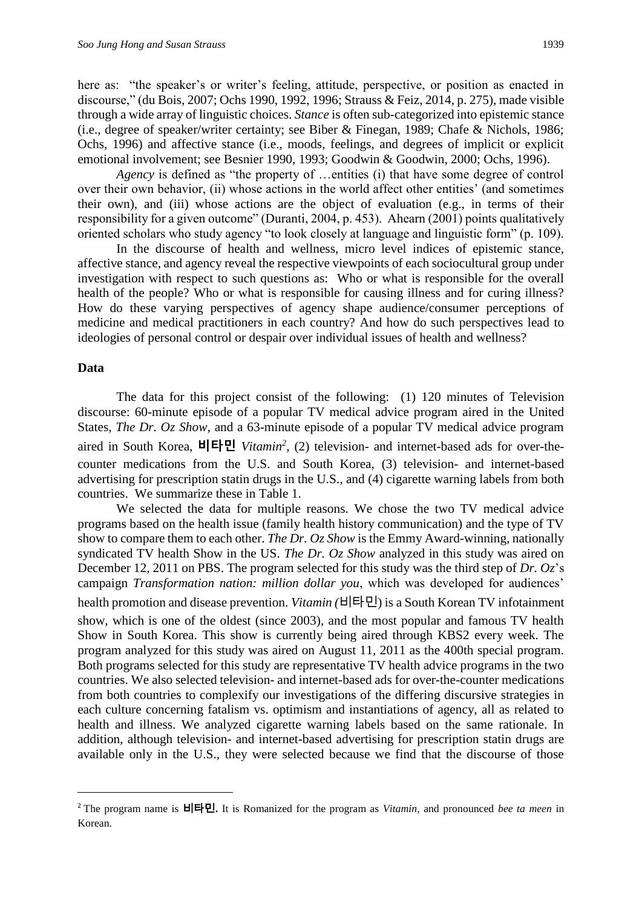here as: "the speaker's or writer's feeling, attitude, perspective, or position as enacted in discourse," (du Bois, 2007; Ochs 1990, 1992, 1996; Strauss & Feiz, 2014, p. 275), made visible through a wide array of linguistic choices. *Stance* is often sub-categorized into epistemic stance (i.e., degree of speaker/writer certainty; see Biber & Finegan, 1989; Chafe & Nichols, 1986; Ochs, 1996) and affective stance (i.e., moods, feelings, and degrees of implicit or explicit emotional involvement; see Besnier 1990, 1993; Goodwin & Goodwin, 2000; Ochs, 1996).

*Agency* is defined as "the property of …entities (i) that have some degree of control over their own behavior, (ii) whose actions in the world affect other entities' (and sometimes their own), and (iii) whose actions are the object of evaluation (e.g., in terms of their responsibility for a given outcome" (Duranti, 2004, p. 453). Ahearn (2001) points qualitatively oriented scholars who study agency "to look closely at language and linguistic form" (p. 109).

In the discourse of health and wellness, micro level indices of epistemic stance, affective stance, and agency reveal the respective viewpoints of each sociocultural group under investigation with respect to such questions as: Who or what is responsible for the overall health of the people? Who or what is responsible for causing illness and for curing illness? How do these varying perspectives of agency shape audience/consumer perceptions of medicine and medical practitioners in each country? And how do such perspectives lead to ideologies of personal control or despair over individual issues of health and wellness?

#### **Data**

1

The data for this project consist of the following: (1) 120 minutes of Television discourse: 60-minute episode of a popular TV medical advice program aired in the United States, *The Dr. Oz Show*, and a 63-minute episode of a popular TV medical advice program aired in South Korea, **비타민** *Vitamin<sup>2</sup>* , (2) television- and internet-based ads for over-thecounter medications from the U.S. and South Korea, (3) television- and internet-based advertising for prescription statin drugs in the U.S., and (4) cigarette warning labels from both countries. We summarize these in Table 1.

We selected the data for multiple reasons. We chose the two TV medical advice programs based on the health issue (family health history communication) and the type of TV show to compare them to each other. *The Dr. Oz Show* is the Emmy Award-winning, nationally syndicated TV health Show in the US. *The Dr. Oz Show* analyzed in this study was aired on December 12, 2011 on PBS. The program selected for this study was the third step of *Dr. Oz*'s campaign *Transformation nation: million dollar you*, which was developed for audiences'

health promotion and disease prevention. *Vitamin (*비타민) is a South Korean TV infotainment show, which is one of the oldest (since 2003), and the most popular and famous TV health Show in South Korea. This show is currently being aired through KBS2 every week. The program analyzed for this study was aired on August 11, 2011 as the 400th special program. Both programs selected for this study are representative TV health advice programs in the two countries. We also selected television- and internet-based ads for over-the-counter medications from both countries to complexify our investigations of the differing discursive strategies in each culture concerning fatalism vs. optimism and instantiations of agency, all as related to health and illness. We analyzed cigarette warning labels based on the same rationale. In addition, although television- and internet-based advertising for prescription statin drugs are available only in the U.S., they were selected because we find that the discourse of those

<sup>2</sup> The program name is 비타민**.** It is Romanized for the program as *Vitamin*, and pronounced *bee ta meen* in Korean.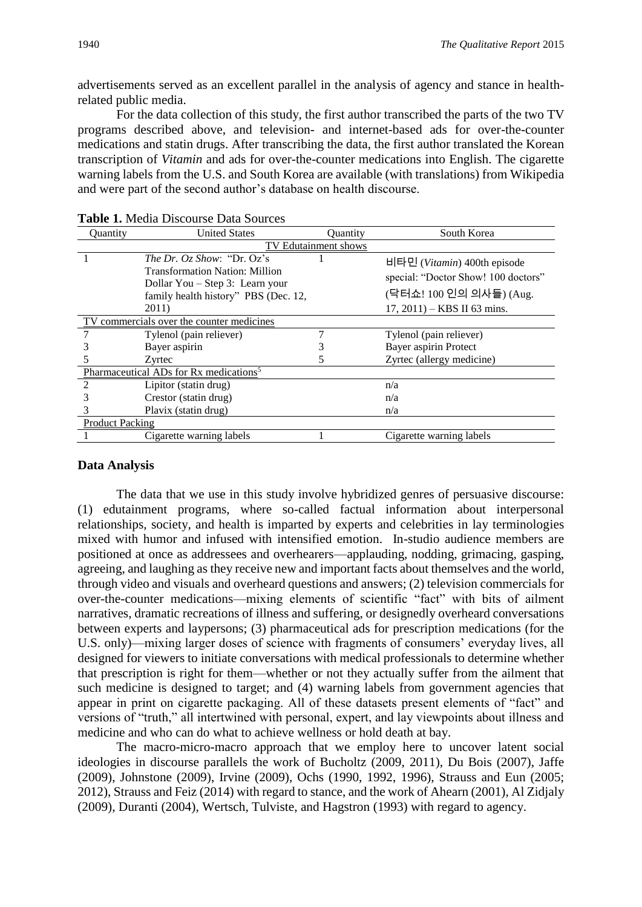advertisements served as an excellent parallel in the analysis of agency and stance in healthrelated public media.

For the data collection of this study, the first author transcribed the parts of the two TV programs described above, and television- and internet-based ads for over-the-counter medications and statin drugs. After transcribing the data, the first author translated the Korean transcription of *Vitamin* and ads for over-the-counter medications into English. The cigarette warning labels from the U.S. and South Korea are available (with translations) from Wikipedia and were part of the second author's database on health discourse.

| <b>Ouantity</b>                                    | <b>United States</b>                                                                                                                                           | Ouantity | South Korea                                                                                                                     |  |  |  |  |
|----------------------------------------------------|----------------------------------------------------------------------------------------------------------------------------------------------------------------|----------|---------------------------------------------------------------------------------------------------------------------------------|--|--|--|--|
| TV Edutainment shows                               |                                                                                                                                                                |          |                                                                                                                                 |  |  |  |  |
|                                                    | <i>The Dr. Oz Show: "Dr. Oz's</i><br><b>Transformation Nation: Million</b><br>Dollar You – Step 3: Learn your<br>family health history" PBS (Dec. 12,<br>2011) |          | 비타민 (Vitamin) 400th episode<br>special: "Doctor Show! 100 doctors"<br>(닥터쇼! 100 인의 의사들) (Aug.<br>$17, 2011$ ) – KBS II 63 mins. |  |  |  |  |
| TV commercials over the counter medicines          |                                                                                                                                                                |          |                                                                                                                                 |  |  |  |  |
|                                                    | Tylenol (pain reliever)                                                                                                                                        |          | Tylenol (pain reliever)                                                                                                         |  |  |  |  |
|                                                    | Bayer aspirin                                                                                                                                                  |          | Bayer aspirin Protect                                                                                                           |  |  |  |  |
|                                                    | Zyrtec                                                                                                                                                         | 5        | Zyrtec (allergy medicine)                                                                                                       |  |  |  |  |
| Pharmaceutical ADs for Rx medications <sup>5</sup> |                                                                                                                                                                |          |                                                                                                                                 |  |  |  |  |
|                                                    | Lipitor (statin drug)                                                                                                                                          |          | n/a                                                                                                                             |  |  |  |  |
| 3                                                  | Crestor (statin drug)                                                                                                                                          |          | n/a                                                                                                                             |  |  |  |  |
|                                                    | Plavix (statin drug)                                                                                                                                           |          | n/a                                                                                                                             |  |  |  |  |
| <b>Product Packing</b>                             |                                                                                                                                                                |          |                                                                                                                                 |  |  |  |  |
|                                                    | Cigarette warning labels                                                                                                                                       |          | Cigarette warning labels                                                                                                        |  |  |  |  |

**Table 1.** Media Discourse Data Sources

#### **Data Analysis**

The data that we use in this study involve hybridized genres of persuasive discourse: (1) edutainment programs, where so-called factual information about interpersonal relationships, society, and health is imparted by experts and celebrities in lay terminologies mixed with humor and infused with intensified emotion. In-studio audience members are positioned at once as addressees and overhearers—applauding, nodding, grimacing, gasping, agreeing, and laughing as they receive new and important facts about themselves and the world, through video and visuals and overheard questions and answers; (2) television commercials for over-the-counter medications—mixing elements of scientific "fact" with bits of ailment narratives, dramatic recreations of illness and suffering, or designedly overheard conversations between experts and laypersons; (3) pharmaceutical ads for prescription medications (for the U.S. only)—mixing larger doses of science with fragments of consumers' everyday lives, all designed for viewers to initiate conversations with medical professionals to determine whether that prescription is right for them—whether or not they actually suffer from the ailment that such medicine is designed to target; and (4) warning labels from government agencies that appear in print on cigarette packaging. All of these datasets present elements of "fact" and versions of "truth," all intertwined with personal, expert, and lay viewpoints about illness and medicine and who can do what to achieve wellness or hold death at bay.

The macro-micro-macro approach that we employ here to uncover latent social ideologies in discourse parallels the work of Bucholtz (2009, 2011), Du Bois (2007), Jaffe (2009), Johnstone (2009), Irvine (2009), Ochs (1990, 1992, 1996), Strauss and Eun (2005; 2012), Strauss and Feiz (2014) with regard to stance, and the work of Ahearn (2001), Al Zidjaly (2009), Duranti (2004), Wertsch, Tulviste, and Hagstron (1993) with regard to agency.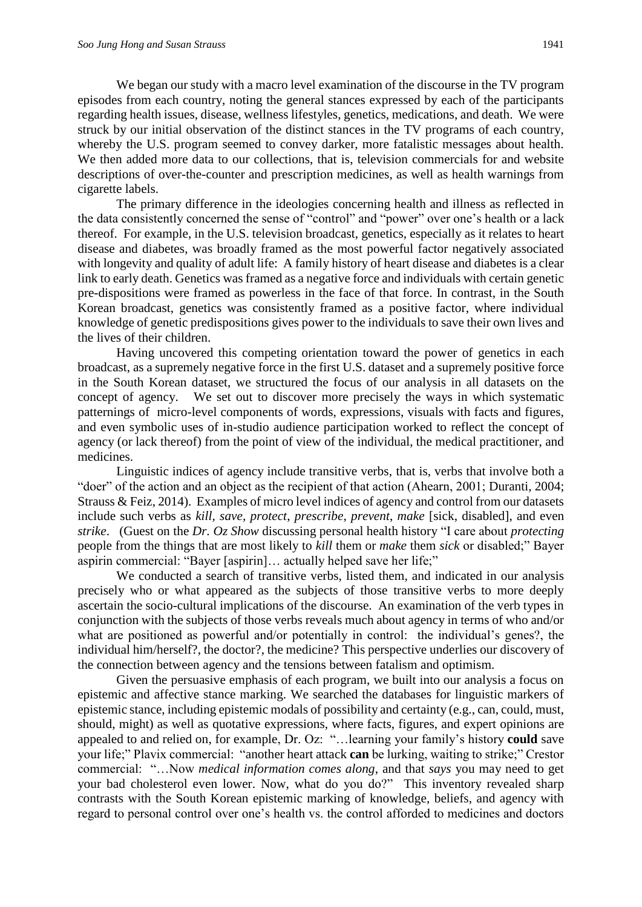We began our study with a macro level examination of the discourse in the TV program episodes from each country, noting the general stances expressed by each of the participants regarding health issues, disease, wellness lifestyles, genetics, medications, and death. We were struck by our initial observation of the distinct stances in the TV programs of each country, whereby the U.S. program seemed to convey darker, more fatalistic messages about health. We then added more data to our collections, that is, television commercials for and website descriptions of over-the-counter and prescription medicines, as well as health warnings from cigarette labels.

The primary difference in the ideologies concerning health and illness as reflected in the data consistently concerned the sense of "control" and "power" over one's health or a lack thereof. For example, in the U.S. television broadcast, genetics, especially as it relates to heart disease and diabetes, was broadly framed as the most powerful factor negatively associated with longevity and quality of adult life: A family history of heart disease and diabetes is a clear link to early death. Genetics was framed as a negative force and individuals with certain genetic pre-dispositions were framed as powerless in the face of that force. In contrast, in the South Korean broadcast, genetics was consistently framed as a positive factor, where individual knowledge of genetic predispositions gives power to the individuals to save their own lives and the lives of their children.

Having uncovered this competing orientation toward the power of genetics in each broadcast, as a supremely negative force in the first U.S. dataset and a supremely positive force in the South Korean dataset, we structured the focus of our analysis in all datasets on the concept of agency. We set out to discover more precisely the ways in which systematic patternings of micro-level components of words, expressions, visuals with facts and figures, and even symbolic uses of in-studio audience participation worked to reflect the concept of agency (or lack thereof) from the point of view of the individual, the medical practitioner, and medicines.

Linguistic indices of agency include transitive verbs, that is, verbs that involve both a "doer" of the action and an object as the recipient of that action (Ahearn, 2001; Duranti, 2004; Strauss & Feiz, 2014). Examples of micro level indices of agency and control from our datasets include such verbs as *kill, save, protect*, *prescribe, prevent*, *make* [sick, disabled], and even *strike*. (Guest on the *Dr. Oz Show* discussing personal health history "I care about *protecting* people from the things that are most likely to *kill* them or *make* them *sick* or disabled;" Bayer aspirin commercial: "Bayer [aspirin]… actually helped save her life;"

We conducted a search of transitive verbs, listed them, and indicated in our analysis precisely who or what appeared as the subjects of those transitive verbs to more deeply ascertain the socio-cultural implications of the discourse. An examination of the verb types in conjunction with the subjects of those verbs reveals much about agency in terms of who and/or what are positioned as powerful and/or potentially in control: the individual's genes?, the individual him/herself?, the doctor?, the medicine? This perspective underlies our discovery of the connection between agency and the tensions between fatalism and optimism.

Given the persuasive emphasis of each program, we built into our analysis a focus on epistemic and affective stance marking. We searched the databases for linguistic markers of epistemic stance, including epistemic modals of possibility and certainty (e.g., can, could, must, should, might) as well as quotative expressions, where facts, figures, and expert opinions are appealed to and relied on, for example, Dr. Oz: "…learning your family's history **could** save your life;" Plavix commercial: "another heart attack **can** be lurking, waiting to strike;" Crestor commercial: "…Now *medical information comes along*, and that *says* you may need to get your bad cholesterol even lower. Now, what do you do?" This inventory revealed sharp contrasts with the South Korean epistemic marking of knowledge, beliefs, and agency with regard to personal control over one's health vs. the control afforded to medicines and doctors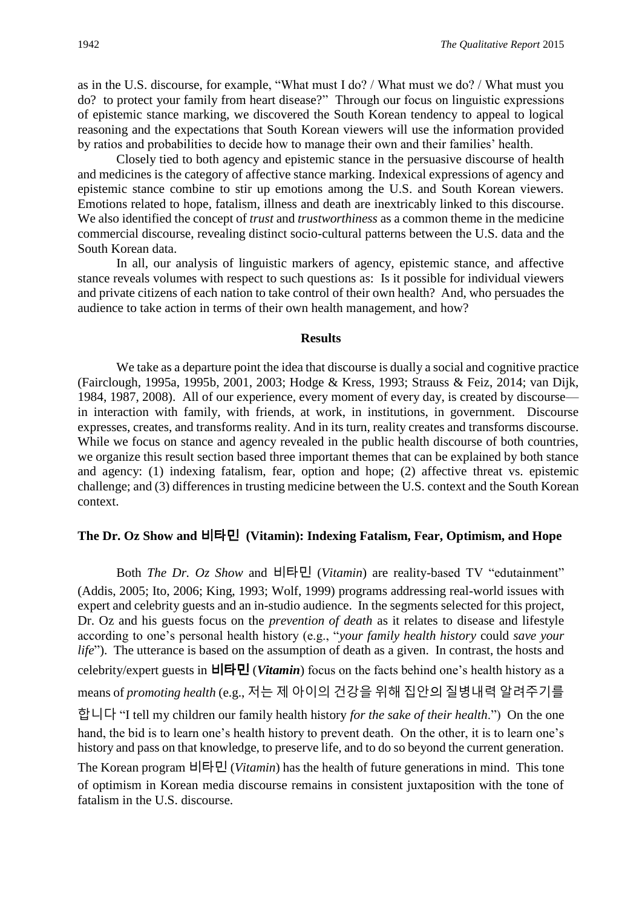as in the U.S. discourse, for example, "What must I do? / What must we do? / What must you do? to protect your family from heart disease?" Through our focus on linguistic expressions of epistemic stance marking, we discovered the South Korean tendency to appeal to logical reasoning and the expectations that South Korean viewers will use the information provided by ratios and probabilities to decide how to manage their own and their families' health.

Closely tied to both agency and epistemic stance in the persuasive discourse of health and medicines is the category of affective stance marking. Indexical expressions of agency and epistemic stance combine to stir up emotions among the U.S. and South Korean viewers. Emotions related to hope, fatalism, illness and death are inextricably linked to this discourse. We also identified the concept of *trust* and *trustworthiness* as a common theme in the medicine commercial discourse, revealing distinct socio-cultural patterns between the U.S. data and the South Korean data.

In all, our analysis of linguistic markers of agency, epistemic stance, and affective stance reveals volumes with respect to such questions as: Is it possible for individual viewers and private citizens of each nation to take control of their own health? And, who persuades the audience to take action in terms of their own health management, and how?

#### **Results**

We take as a departure point the idea that discourse is dually a social and cognitive practice (Fairclough, 1995a, 1995b, 2001, 2003; Hodge & Kress, 1993; Strauss & Feiz, 2014; van Dijk, 1984, 1987, 2008). All of our experience, every moment of every day, is created by discourse in interaction with family, with friends, at work, in institutions, in government. Discourse expresses, creates, and transforms reality. And in its turn, reality creates and transforms discourse. While we focus on stance and agency revealed in the public health discourse of both countries, we organize this result section based three important themes that can be explained by both stance and agency: (1) indexing fatalism, fear, option and hope; (2) affective threat vs. epistemic challenge; and (3) differences in trusting medicine between the U.S. context and the South Korean context.

### **The Dr. Oz Show and** 비타민 **(Vitamin): Indexing Fatalism, Fear, Optimism, and Hope**

Both *The Dr. Oz Show* and 비타민 (*Vitamin*) are reality-based TV "edutainment" (Addis, 2005; Ito, 2006; King, 1993; Wolf, 1999) programs addressing real-world issues with expert and celebrity guests and an in-studio audience. In the segments selected for this project, Dr. Oz and his guests focus on the *prevention of death* as it relates to disease and lifestyle according to one's personal health history (e.g., "*your family health history* could *save your life*"). The utterance is based on the assumption of death as a given. In contrast, the hosts and celebrity/expert guests in 비타민 (*Vitamin*) focus on the facts behind one's health history as a means of *promoting health* (e.g., 저는 제 아이의 건강을 위해 집안의 질병내력 알려주기를 합니다 "I tell my children our family health history *for the sake of their health*.") On the one hand, the bid is to learn one's health history to prevent death. On the other, it is to learn one's history and pass on that knowledge, to preserve life, and to do so beyond the current generation. The Korean program 비타민 (*Vitamin*) has the health of future generations in mind. This tone of optimism in Korean media discourse remains in consistent juxtaposition with the tone of fatalism in the U.S. discourse.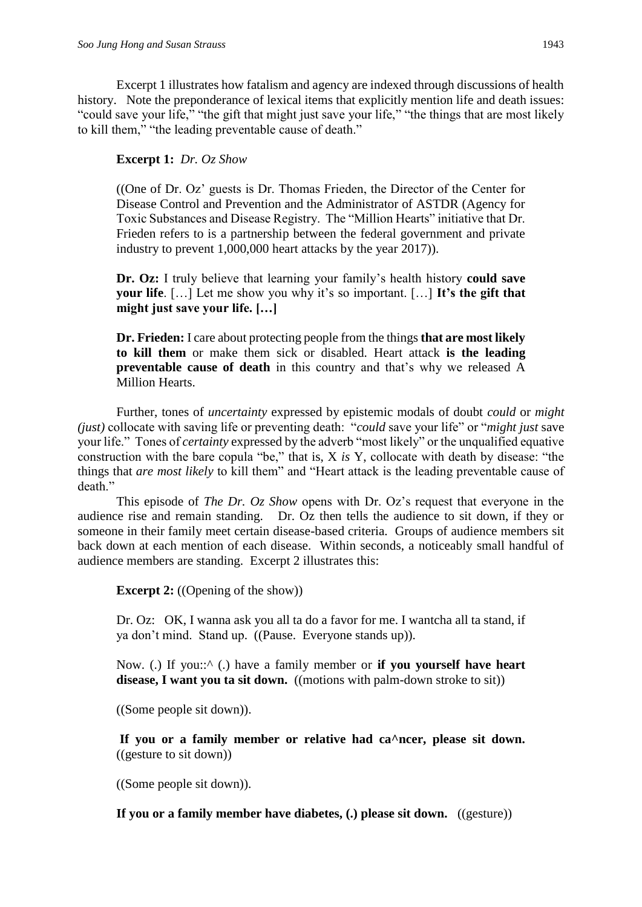Excerpt 1 illustrates how fatalism and agency are indexed through discussions of health history. Note the preponderance of lexical items that explicitly mention life and death issues: "could save your life," "the gift that might just save your life," "the things that are most likely to kill them," "the leading preventable cause of death."

# **Excerpt 1:** *Dr. Oz Show*

((One of Dr. Oz' guests is Dr. Thomas Frieden, the Director of the Center for Disease Control and Prevention and the Administrator of ASTDR (Agency for Toxic Substances and Disease Registry. The "Million Hearts" initiative that Dr. Frieden refers to is a partnership between the federal government and private industry to prevent 1,000,000 heart attacks by the year 2017)).

**Dr. Oz:** I truly believe that learning your family's health history **could save your life**. […] Let me show you why it's so important. […] **It's the gift that might just save your life. […]**

**Dr. Frieden:** I care about protecting people from the things **that are most likely to kill them** or make them sick or disabled. Heart attack **is the leading preventable cause of death** in this country and that's why we released A Million Hearts.

Further, tones of *uncertainty* expressed by epistemic modals of doubt *could* or *might (just)* collocate with saving life or preventing death: "*could* save your life" or "*might just* save your life." Tones of *certainty* expressed by the adverb "most likely" or the unqualified equative construction with the bare copula "be," that is, X *is* Y, collocate with death by disease: "the things that *are most likely* to kill them" and "Heart attack is the leading preventable cause of death."

This episode of *The Dr. Oz Show* opens with Dr. Oz's request that everyone in the audience rise and remain standing. Dr. Oz then tells the audience to sit down, if they or someone in their family meet certain disease-based criteria. Groups of audience members sit back down at each mention of each disease. Within seconds, a noticeably small handful of audience members are standing. Excerpt 2 illustrates this:

**Excerpt 2:** ((Opening of the show))

Dr. Oz: OK, I wanna ask you all ta do a favor for me. I wantcha all ta stand, if ya don't mind. Stand up. ((Pause. Everyone stands up)).

Now. (.) If you::^ (.) have a family member or **if you yourself have heart**  disease, I want you ta sit down. ((motions with palm-down stroke to sit))

((Some people sit down)).

**If you or a family member or relative had ca^ncer, please sit down.** ((gesture to sit down))

((Some people sit down)).

**If you or a family member have diabetes, (.) please sit down.** ((gesture))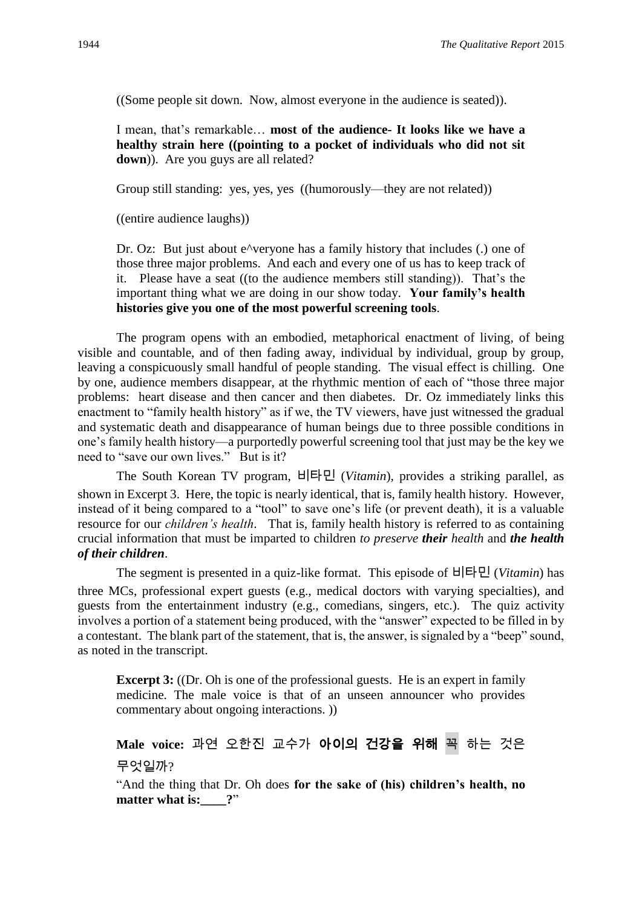((Some people sit down. Now, almost everyone in the audience is seated)).

I mean, that's remarkable… **most of the audience- It looks like we have a healthy strain here ((pointing to a pocket of individuals who did not sit down**)). Are you guys are all related?

Group still standing: yes, yes, yes ((humorously—they are not related))

((entire audience laughs))

Dr. Oz: But just about e<sup> $\lambda$ </sup>veryone has a family history that includes (.) one of those three major problems. And each and every one of us has to keep track of it. Please have a seat ((to the audience members still standing)). That's the important thing what we are doing in our show today. **Your family's health histories give you one of the most powerful screening tools**.

The program opens with an embodied, metaphorical enactment of living, of being visible and countable, and of then fading away, individual by individual, group by group, leaving a conspicuously small handful of people standing. The visual effect is chilling. One by one, audience members disappear, at the rhythmic mention of each of "those three major problems: heart disease and then cancer and then diabetes. Dr. Oz immediately links this enactment to "family health history" as if we, the TV viewers, have just witnessed the gradual and systematic death and disappearance of human beings due to three possible conditions in one's family health history—a purportedly powerful screening tool that just may be the key we need to "save our own lives." But is it?

The South Korean TV program, 비타민 (*Vitamin*)*,* provides a striking parallel, as shown in Excerpt 3. Here, the topic is nearly identical, that is, family health history. However, instead of it being compared to a "tool" to save one's life (or prevent death), it is a valuable resource for our *children's health*. That is, family health history is referred to as containing crucial information that must be imparted to children *to preserve their health* and *the health of their children*.

The segment is presented in a quiz-like format. This episode of 비타민 (*Vitamin*) has three MCs, professional expert guests (e.g., medical doctors with varying specialties), and guests from the entertainment industry (e.g., comedians, singers, etc.). The quiz activity involves a portion of a statement being produced, with the "answer" expected to be filled in by a contestant. The blank part of the statement, that is, the answer, is signaled by a "beep" sound, as noted in the transcript.

**Excerpt 3:** ((Dr. Oh is one of the professional guests. He is an expert in family medicine. The male voice is that of an unseen announcer who provides commentary about ongoing interactions. ))

```
Male voice: 과연 오한진 교수가 아이의 건강을 위해 꼭 하는 것은
무엇일까?
```
"And the thing that Dr. Oh does **for the sake of (his) children's health, no matter what is:**  $?$ "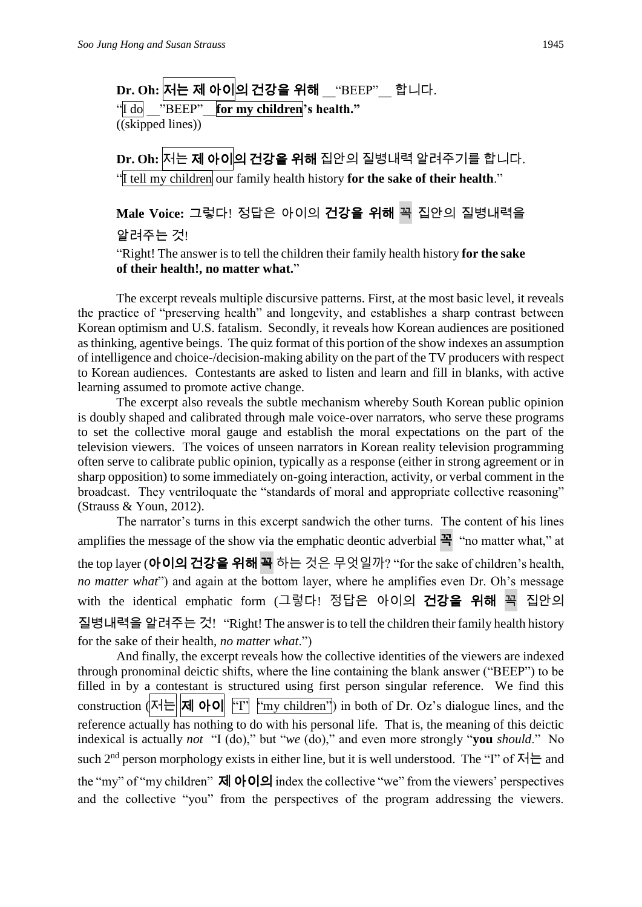**Dr. Oh:** 저는 제 아이의 건강을 위해 \_\_"BEEP"\_\_ 합니다.

"I do \_\_"BEEP"\_\_**for my children's health."** ((skipped lines))

**Dr. Oh:** 저는 제 아이의 건강을 위해 집안의 질병내력 알려주기를 합니다. "I tell my children our family health history **for the sake of their health**."

**Male Voice:** 그렇다! 정답은 아이의 건강을 위해 꼭 집안의 질병내력을 알려주는 것!

"Right! The answer is to tell the children their family health history **for the sake of their health!, no matter what.**"

The excerpt reveals multiple discursive patterns. First, at the most basic level, it reveals the practice of "preserving health" and longevity, and establishes a sharp contrast between Korean optimism and U.S. fatalism. Secondly, it reveals how Korean audiences are positioned as thinking, agentive beings. The quiz format of this portion of the show indexes an assumption of intelligence and choice-/decision-making ability on the part of the TV producers with respect to Korean audiences. Contestants are asked to listen and learn and fill in blanks, with active learning assumed to promote active change.

The excerpt also reveals the subtle mechanism whereby South Korean public opinion is doubly shaped and calibrated through male voice-over narrators, who serve these programs to set the collective moral gauge and establish the moral expectations on the part of the television viewers. The voices of unseen narrators in Korean reality television programming often serve to calibrate public opinion, typically as a response (either in strong agreement or in sharp opposition) to some immediately on-going interaction, activity, or verbal comment in the broadcast. They ventriloquate the "standards of moral and appropriate collective reasoning" (Strauss & Youn, 2012).

The narrator's turns in this excerpt sandwich the other turns. The content of his lines amplifies the message of the show via the emphatic deontic adverbial  $\mathbf{a}$   $\mathbf{b}$   $\mathbf{c}$  at  $\mathbf{a}$ the top layer (아이의 건강을 위해 꼭 하는 것은 무엇일까? "for the sake of children's health, *no matter what*") and again at the bottom layer, where he amplifies even Dr. Oh's message with the identical emphatic form (그렇다! 정답은 아이의 건강을 위해 꼭 집안의 질병내력을 알려주는 것! "Right! The answer is to tell the children their family health history for the sake of their health, *no matter what*.")

And finally, the excerpt reveals how the collective identities of the viewers are indexed through pronominal deictic shifts, where the line containing the blank answer ("BEEP") to be filled in by a contestant is structured using first person singular reference. We find this construction  $\|\mathbf{x}\|$   $\|\mathbf{w}\|$   $\|\mathbf{v}\|$   $\|\mathbf{w}\|$   $\|\mathbf{w}\|$   $\|\mathbf{w}\|$   $\|\mathbf{w}\|$  in both of Dr. Oz's dialogue lines, and the reference actually has nothing to do with his personal life. That is, the meaning of this deictic indexical is actually *not* "I (do)," but "*we* (do)," and even more strongly "**you** *should*." No such 2<sup>nd</sup> person morphology exists in either line, but it is well understood. The "I" of  $\overline{M}$  and the "my" of "my children"  $\vec{A}$   $\vec{O}$  $\vec{O}$  index the collective "we" from the viewers' perspectives and the collective "you" from the perspectives of the program addressing the viewers.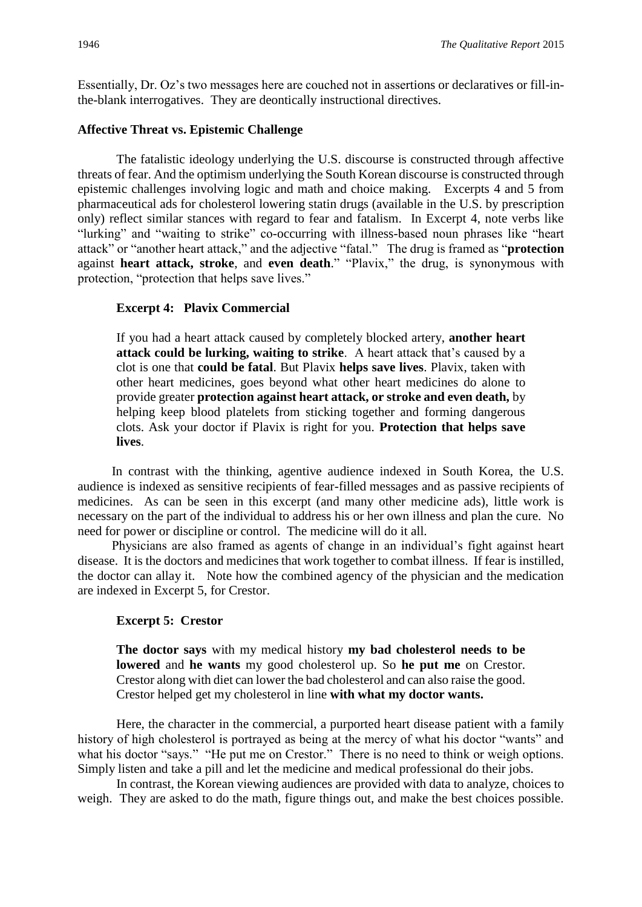Essentially, Dr. Oz's two messages here are couched not in assertions or declaratives or fill-inthe-blank interrogatives. They are deontically instructional directives.

### **Affective Threat vs. Epistemic Challenge**

The fatalistic ideology underlying the U.S. discourse is constructed through affective threats of fear. And the optimism underlying the South Korean discourse is constructed through epistemic challenges involving logic and math and choice making. Excerpts 4 and 5 from pharmaceutical ads for cholesterol lowering statin drugs (available in the U.S. by prescription only) reflect similar stances with regard to fear and fatalism. In Excerpt 4, note verbs like "lurking" and "waiting to strike" co-occurring with illness-based noun phrases like "heart attack" or "another heart attack," and the adjective "fatal." The drug is framed as "**protection** against **heart attack, stroke**, and **even death**." "Plavix," the drug, is synonymous with protection, "protection that helps save lives."

# **Excerpt 4: Plavix Commercial**

If you had a heart attack caused by completely blocked artery, **another heart attack could be lurking, waiting to strike**. A heart attack that's caused by a clot is one that **could be fatal**. But Plavix **helps save lives**. Plavix, taken with other heart medicines, goes beyond what other heart medicines do alone to provide greater **protection against heart attack, or stroke and even death,** by helping keep blood platelets from sticking together and forming dangerous clots. Ask your doctor if Plavix is right for you. **Protection that helps save lives**.

In contrast with the thinking, agentive audience indexed in South Korea, the U.S. audience is indexed as sensitive recipients of fear-filled messages and as passive recipients of medicines. As can be seen in this excerpt (and many other medicine ads), little work is necessary on the part of the individual to address his or her own illness and plan the cure. No need for power or discipline or control. The medicine will do it all.

Physicians are also framed as agents of change in an individual's fight against heart disease. It is the doctors and medicines that work together to combat illness. If fear is instilled, the doctor can allay it. Note how the combined agency of the physician and the medication are indexed in Excerpt 5, for Crestor.

# **Excerpt 5: Crestor**

**The doctor says** with my medical history **my bad cholesterol needs to be lowered** and **he wants** my good cholesterol up. So **he put me** on Crestor. Crestor along with diet can lower the bad cholesterol and can also raise the good. Crestor helped get my cholesterol in line **with what my doctor wants.** 

Here, the character in the commercial, a purported heart disease patient with a family history of high cholesterol is portrayed as being at the mercy of what his doctor "wants" and what his doctor "says." "He put me on Crestor." There is no need to think or weigh options. Simply listen and take a pill and let the medicine and medical professional do their jobs.

In contrast, the Korean viewing audiences are provided with data to analyze, choices to weigh. They are asked to do the math, figure things out, and make the best choices possible.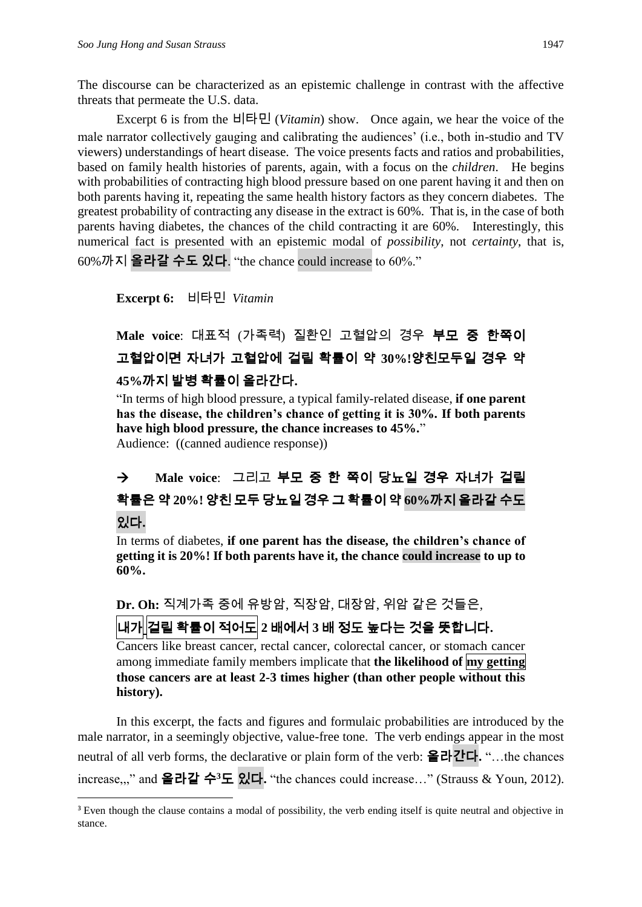The discourse can be characterized as an epistemic challenge in contrast with the affective threats that permeate the U.S. data.

Excerpt 6 is from the 비타민 (*Vitamin*) show. Once again, we hear the voice of the male narrator collectively gauging and calibrating the audiences' (i.e., both in-studio and TV viewers) understandings of heart disease. The voice presents facts and ratios and probabilities, based on family health histories of parents, again, with a focus on the *children*. He begins with probabilities of contracting high blood pressure based on one parent having it and then on both parents having it, repeating the same health history factors as they concern diabetes. The greatest probability of contracting any disease in the extract is 60%. That is, in the case of both parents having diabetes, the chances of the child contracting it are 60%. Interestingly, this numerical fact is presented with an epistemic modal of *possibility*, not *certainty*, that is, 60%까지 **올라갈 수도 있**다. "the chance could increase to 60%."

**Excerpt 6:** 비타민 *Vitamin* 

**.** 

**Male voice**: 대표적 (가족력) 질환인 고혈압의 경우 부모 중 한쪽이 고혈압이면 자녀가 고혈압에 걸릴 확률이 약 **30%!**양친모두일 경우 약 **45%**까지 발병 확률이 올라간다**.**

"In terms of high blood pressure, a typical family-related disease, **if one parent has the disease, the children's chance of getting it is 30%. If both parents have high blood pressure, the chance increases to 45%.**" Audience: ((canned audience response))

 **Male voice**: 그리고 부모 중 한 쪽이 당뇨일 경우 자녀가 걸릴 확률은 약 **20%!** 양친 모두 당뇨일 경우 그 확률이 약 **60%**까지 올라갈 수도 있다**.**

In terms of diabetes, **if one parent has the disease, the children's chance of getting it is 20%! If both parents have it, the chance could increase to up to 60%.**

**Dr. Oh:** 직계가족 중에 유방암, 직장암, 대장암, 위암 같은 것들은,  $||$ 내개 $||$ 걸릴 확률이 적어도 $|$ 2 배에서 3 배 정도 높다는 것을 뜻합니다.

Cancers like breast cancer, rectal cancer, colorectal cancer, or stomach cancer among immediate family members implicate that **the likelihood of my getting those cancers are at least 2-3 times higher (than other people without this history).**

In this excerpt, the facts and figures and formulaic probabilities are introduced by the male narrator, in a seemingly objective, value-free tone. The verb endings appear in the most neutral of all verb forms, the declarative or plain form of the verb: 올라**간**다**.** "…the chances increase,,," and 올라갈 수**<sup>3</sup>**도 있다**.** "the chances could increase…" (Strauss & Youn, 2012).

<sup>&</sup>lt;sup>3</sup> Even though the clause contains a modal of possibility, the verb ending itself is quite neutral and objective in stance.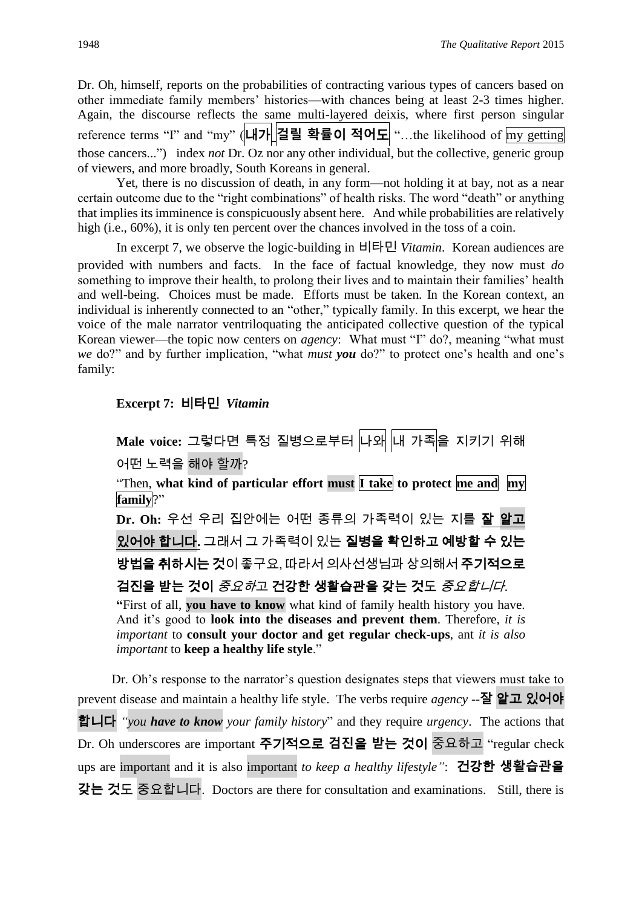Dr. Oh, himself, reports on the probabilities of contracting various types of cancers based on other immediate family members' histories—with chances being at least 2-3 times higher. Again, the discourse reflects the same multi-layered deixis, where first person singular reference terms "I" and "my" (내가 **걸릴 확률**이 **적어**도 "…the likelihood of my getting those cancers...") index *not* Dr. Oz nor any other individual, but the collective, generic group of viewers, and more broadly, South Koreans in general.

Yet, there is no discussion of death, in any form—not holding it at bay, not as a near certain outcome due to the "right combinations" of health risks. The word "death" or anything that implies its imminence is conspicuously absent here. And while probabilities are relatively high (i.e., 60%), it is only ten percent over the chances involved in the toss of a coin.

In excerpt 7, we observe the logic-building in 비타민 *Vitamin*. Korean audiences are provided with numbers and facts. In the face of factual knowledge, they now must *do* something to improve their health, to prolong their lives and to maintain their families' health and well-being. Choices must be made. Efforts must be taken. In the Korean context, an individual is inherently connected to an "other," typically family. In this excerpt, we hear the voice of the male narrator ventriloquating the anticipated collective question of the typical Korean viewer—the topic now centers on *agency*: What must "I" do?, meaning "what must *we* do?" and by further implication, "what *must you* do?" to protect one's health and one's family:

### **Excerpt 7:** 비타민*Vitamin*

**Male voice:** 그렇다면 특정 질병으로부터 나와 내 가족을 지키기 위해 어떤 노력을 해야 할까? "Then, **what kind of particular effort must I take to protect me and my family**?" **Dr. Oh:** 우선 우리 집안에는 어떤 종류의 가족력이 있는 지를 잘 알고 있어야 합니다**.** 그래서 그 가족력이 있는 질병을 확인하고 예방할 수 있는 방법을 취하시는 것이 좋구요, 따라서 의사선생님과 상의해서 주기적으로 검진을 받는 것이 *중요하*고 건강한 생활습관을 갖는 것도 *중요합니다.* **"**First of all, **you have to know** what kind of family health history you have. And it's good to **look into the diseases and prevent them**. Therefore, *it is important* to **consult your doctor and get regular check-ups**, ant *it is also important* to **keep a healthy life style**."

Dr. Oh's response to the narrator's question designates steps that viewers must take to prevent disease and maintain a healthy life style. The verbs require *agency* --**잘** 알고 있어야 합니다 *"you have to know your family history*" and they require *urgency*. The actions that Dr. Oh underscores are important 주기적으로 **검진**을 **받**는 것이 중요하고 "regular check ups are important and it is also important *to keep a healthy lifestyle"*: 건강한 **생활습관**을 **갖**는 것도 중요합니다. Doctors are there for consultation and examinations. Still, there is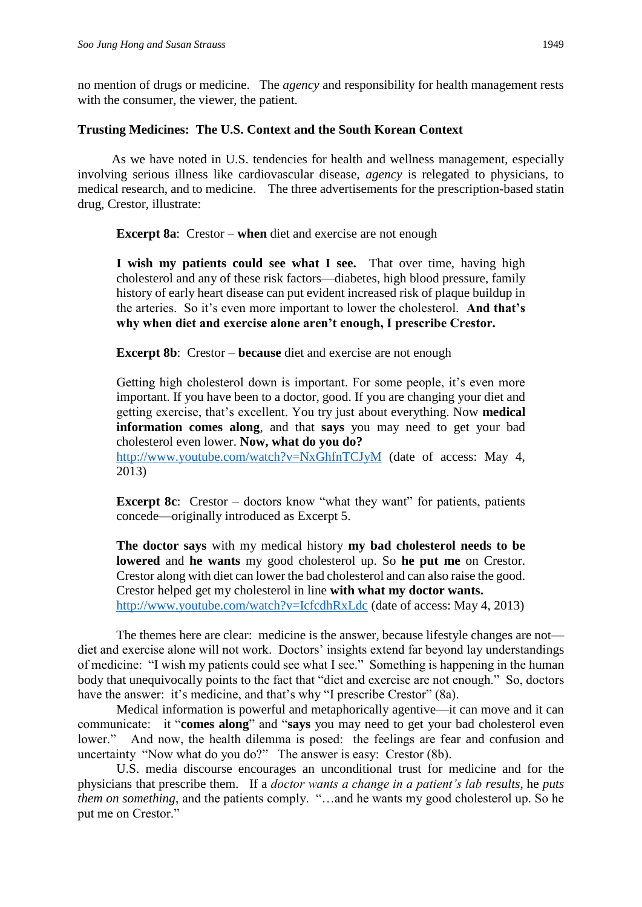no mention of drugs or medicine. The *agency* and responsibility for health management rests with the consumer, the viewer, the patient.

#### **Trusting Medicines: The U.S. Context and the South Korean Context**

As we have noted in U.S. tendencies for health and wellness management, especially involving serious illness like cardiovascular disease, *agency* is relegated to physicians, to medical research, and to medicine. The three advertisements for the prescription-based statin drug, Crestor, illustrate:

**Excerpt 8a**: Crestor – **when** diet and exercise are not enough

**I wish my patients could see what I see.** That over time, having high cholesterol and any of these risk factors—diabetes, high blood pressure, family history of early heart disease can put evident increased risk of plaque buildup in the arteries. So it's even more important to lower the cholesterol. **And that's why when diet and exercise alone aren't enough, I prescribe Crestor.** 

**Excerpt 8b**: Crestor – **because** diet and exercise are not enough

Getting high cholesterol down is important. For some people, it's even more important. If you have been to a doctor, good. If you are changing your diet and getting exercise, that's excellent. You try just about everything. Now **medical information comes along**, and that **says** you may need to get your bad cholesterol even lower. **Now, what do you do?**

<http://www.youtube.com/watch?v=NxGhfnTCJyM> (date of access: May 4, 2013)

**Excerpt 8c**: Crestor – doctors know "what they want" for patients, patients concede—originally introduced as Excerpt 5.

**The doctor says** with my medical history **my bad cholesterol needs to be lowered** and **he wants** my good cholesterol up. So **he put me** on Crestor. Crestor along with diet can lower the bad cholesterol and can also raise the good. Crestor helped get my cholesterol in line **with what my doctor wants.**  <http://www.youtube.com/watch?v=IcfcdhRxLdc> (date of access: May 4, 2013)

The themes here are clear: medicine is the answer, because lifestyle changes are not diet and exercise alone will not work. Doctors' insights extend far beyond lay understandings of medicine: "I wish my patients could see what I see." Something is happening in the human body that unequivocally points to the fact that "diet and exercise are not enough." So, doctors have the answer: it's medicine, and that's why "I prescribe Crestor" (8a).

Medical information is powerful and metaphorically agentive—it can move and it can communicate: it "**comes along**" and "**says** you may need to get your bad cholesterol even lower." And now, the health dilemma is posed: the feelings are fear and confusion and uncertainty "Now what do you do?" The answer is easy: Crestor (8b).

U.S. media discourse encourages an unconditional trust for medicine and for the physicians that prescribe them. If a *doctor wants a change in a patient's lab results*, he *puts them on something*, and the patients comply. "…and he wants my good cholesterol up. So he put me on Crestor."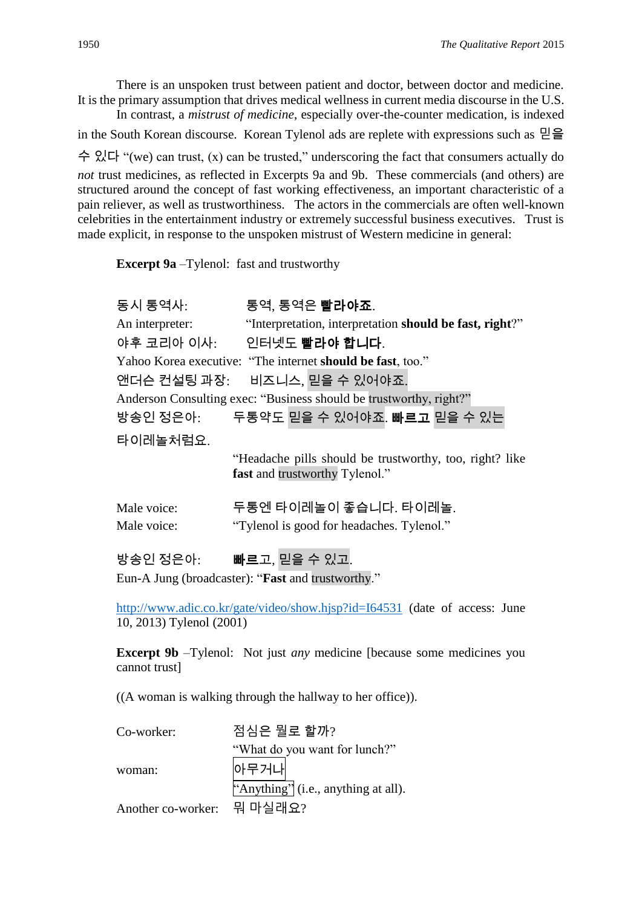There is an unspoken trust between patient and doctor, between doctor and medicine. It is the primary assumption that drives medical wellness in current media discourse in the U.S.

In contrast, a *mistrust of medicine*, especially over-the-counter medication, is indexed in the South Korean discourse. Korean Tylenol ads are replete with expressions such as 믿을 수 있다 "(we) can trust, (x) can be trusted," underscoring the fact that consumers actually do *not* trust medicines, as reflected in Excerpts 9a and 9b. These commercials (and others) are structured around the concept of fast working effectiveness, an important characteristic of a pain reliever, as well as trustworthiness. The actors in the commercials are often well-known celebrities in the entertainment industry or extremely successful business executives. Trust is made explicit, in response to the unspoken mistrust of Western medicine in general:

**Excerpt 9a** –Tylenol: fast and trustworthy

| 동시 통역사:         | 통역, 통역은 <b>빨라야죠</b> .                                                                                |
|-----------------|------------------------------------------------------------------------------------------------------|
| An interpreter: | "Interpretation, interpretation should be fast, right?"                                              |
|                 | 야후 코리아 이사: 2 인터넷도 <b>빨라야 합니다</b> .                                                                   |
|                 | Yahoo Korea executive: "The internet should be fast, too."                                           |
|                 | 앤더슨 컨설팅 과장: 비즈니스, 믿을 수 있어야죠.                                                                         |
|                 | Anderson Consulting exec: "Business should be trustworthy, right?"                                   |
|                 | 방송인 정은아: 두통약도 믿을 수 있어야죠. <b>빠르고</b> 믿을 수 있는                                                          |
| 타이레놀처럼요.        |                                                                                                      |
|                 | "Headache pills should be trustworthy, too, right? like<br>fast and trustworthy Tylenol."            |
| Male voice:     | 두통엔 타이레놀이 좋습니다. 타이레놀.                                                                                |
| Male voice:     | "Tylenol is good for headaches. Tylenol."                                                            |
| 방송인 정은아:        | 빠르고, 믿을 수 있고.<br>the company's company's company's company's company's company's company's company's |

Eun-A Jung (broadcaster): "**Fast** and trustworthy."

<http://www.adic.co.kr/gate/video/show.hjsp?id=I64531> (date of access: June 10, 2013) Tylenol (2001)

**Excerpt 9b** –Tylenol: Not just *any* medicine [because some medicines you cannot trust]

((A woman is walking through the hallway to her office)).

| Co-worker:                 | 점심은 뭘로 할까?                          |  |  |
|----------------------------|-------------------------------------|--|--|
|                            | "What do you want for lunch?"       |  |  |
| woman:                     | 아무거나                                |  |  |
|                            | "Anything" (i.e., anything at all). |  |  |
| Another co-worker: 뭐 마실래요? |                                     |  |  |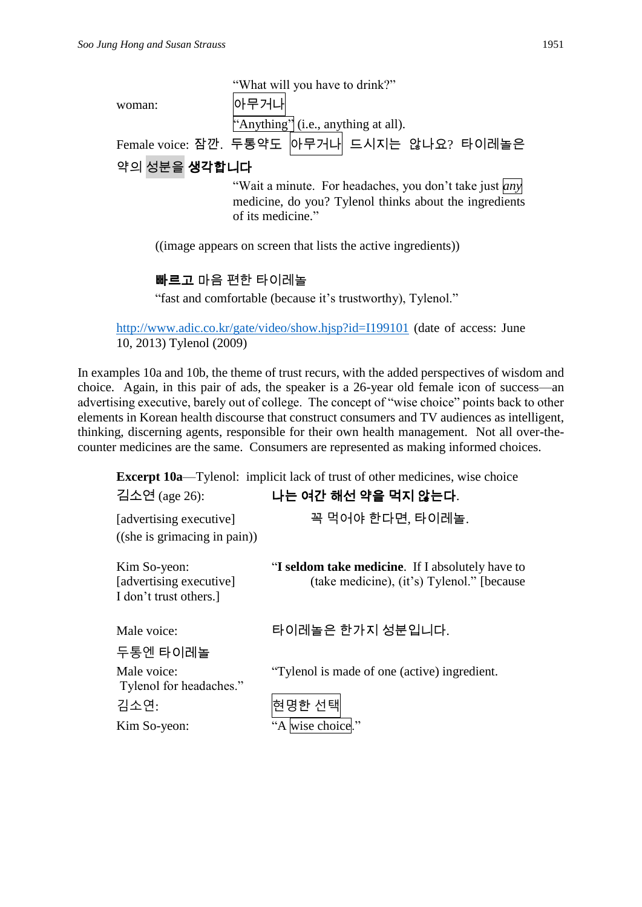|                                                                                                                                              | "What will you have to drink?"                                |  |  |
|----------------------------------------------------------------------------------------------------------------------------------------------|---------------------------------------------------------------|--|--|
| woman:                                                                                                                                       | 아무거내                                                          |  |  |
|                                                                                                                                              | "Anything" (i.e., anything at all).                           |  |  |
|                                                                                                                                              | Female voice: 잠깐. 두통약도 아무거나 드시지는 않나요? 타이레놀은                   |  |  |
| 약의 성분을 <b>생각합니다</b>                                                                                                                          |                                                               |  |  |
| "Wait a minute. For headaches, you don't take just <i>any</i><br>medicine, do you? Tylenol thinks about the ingredients<br>of its medicine." |                                                               |  |  |
|                                                                                                                                              | ((image appears on screen that lists the active ingredients)) |  |  |

빠르고 마음 편한 타이레놀

"fast and comfortable (because it's trustworthy), Tylenol."

<http://www.adic.co.kr/gate/video/show.hjsp?id=I199101> (date of access: June 10, 2013) Tylenol (2009)

In examples 10a and 10b, the theme of trust recurs, with the added perspectives of wisdom and choice. Again, in this pair of ads, the speaker is a 26-year old female icon of success—an advertising executive, barely out of college. The concept of "wise choice" points back to other elements in Korean health discourse that construct consumers and TV audiences as intelligent, thinking, discerning agents, responsible for their own health management. Not all over-thecounter medicines are the same. Consumers are represented as making informed choices.

**Excerpt 10a—Tylenol:** implicit lack of trust of other medicines, wise choice 김소연 (age 26): 나는 여간 해선 약을 먹지 않는다. [advertising executive] 꼭 먹어야 한다면, 타이레놀. ((she is grimacing in pain)) Kim So-yeon: "I seldom take medicine. If I absolutely have to [advertising executive] (take medicine), (it's) Tylenol." [because I don't trust others.] Male voice: 타이레놀은 한가지 성분입니다. 두통엔 타이레놀 Male voice: "Tylenol is made of one (active) ingredient. Tylenol for headaches." 김소연: 현명한 선택 Kim So-yeon: "A wise choice."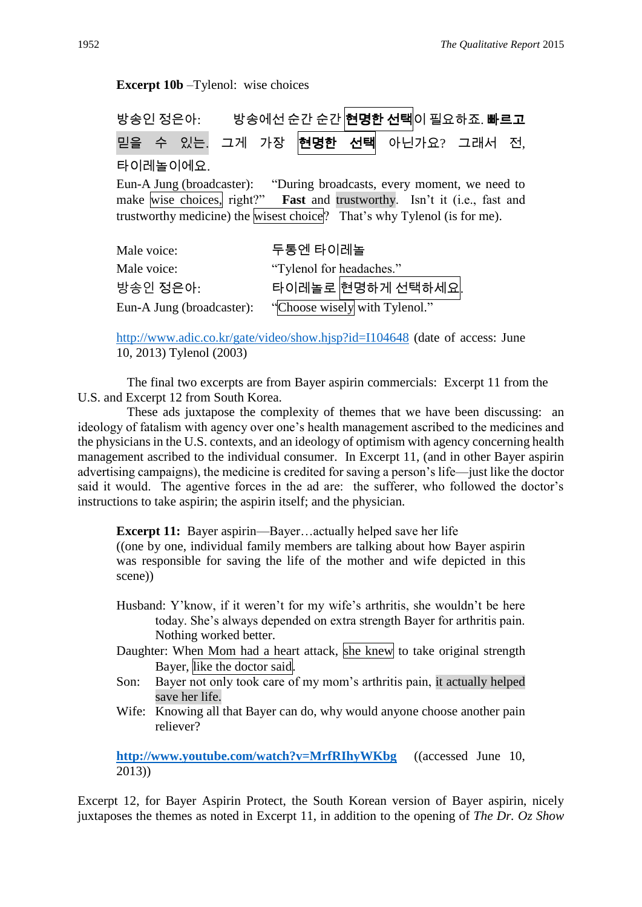| <b>Excerpt 10b</b> – Tylenol: wise choices                                                                                                                                                                                                    |  |                               |  |                   |  |  |
|-----------------------------------------------------------------------------------------------------------------------------------------------------------------------------------------------------------------------------------------------|--|-------------------------------|--|-------------------|--|--|
| 방송인 정은아: 방송에선 순간 순간 <mark>현명한 선택</mark> 이 필요하죠. 빠르고                                                                                                                                                                                           |  |                               |  |                   |  |  |
| 믿을 수 있는. 그게 가장 현명한 선택 아닌가요? 그래서 전,                                                                                                                                                                                                            |  |                               |  |                   |  |  |
| 타이레놀이에요.                                                                                                                                                                                                                                      |  |                               |  |                   |  |  |
| Eun-A Jung (broadcaster): "During broadcasts, every moment, we need to<br>make wise choices, right?" Fast and trustworthy. Isn't it (i.e., fast and<br>trustworthy medicine) the wisest choice <sup>[2]</sup> That's why Tylenol (is for me). |  |                               |  |                   |  |  |
| Male voice:                                                                                                                                                                                                                                   |  | 두통엔 타이레놀                      |  |                   |  |  |
| Male voice:                                                                                                                                                                                                                                   |  | "Tylenol for headaches."      |  |                   |  |  |
| 방송인 정은아:                                                                                                                                                                                                                                      |  |                               |  | 타이레놀로 현명하게 선택하세요. |  |  |
| Eun-A Jung (broadcaster):                                                                                                                                                                                                                     |  | "Choose wisely with Tylenol." |  |                   |  |  |

<http://www.adic.co.kr/gate/video/show.hjsp?id=I104648> (date of access: June 10, 2013) Tylenol (2003)

The final two excerpts are from Bayer aspirin commercials: Excerpt 11 from the U.S. and Excerpt 12 from South Korea.

These ads juxtapose the complexity of themes that we have been discussing: an ideology of fatalism with agency over one's health management ascribed to the medicines and the physicians in the U.S. contexts, and an ideology of optimism with agency concerning health management ascribed to the individual consumer. In Excerpt 11, (and in other Bayer aspirin advertising campaigns), the medicine is credited for saving a person's life—just like the doctor said it would. The agentive forces in the ad are: the sufferer, who followed the doctor's instructions to take aspirin; the aspirin itself; and the physician.

**Excerpt 11:** Bayer aspirin—Bayer…actually helped save her life

((one by one, individual family members are talking about how Bayer aspirin was responsible for saving the life of the mother and wife depicted in this scene))

- Husband: Y'know, if it weren't for my wife's arthritis, she wouldn't be here today. She's always depended on extra strength Bayer for arthritis pain. Nothing worked better.
- Daughter: When Mom had a heart attack, she knew to take original strength Bayer, like the doctor said.
- Son: Bayer not only took care of my mom's arthritis pain, it actually helped save her life.
- Wife: Knowing all that Bayer can do, why would anyone choose another pain reliever?

**<http://www.youtube.com/watch?v=MrfRIhyWKbg>**((accessed June 10, 2013))

Excerpt 12, for Bayer Aspirin Protect, the South Korean version of Bayer aspirin, nicely juxtaposes the themes as noted in Excerpt 11, in addition to the opening of *The Dr. Oz Show*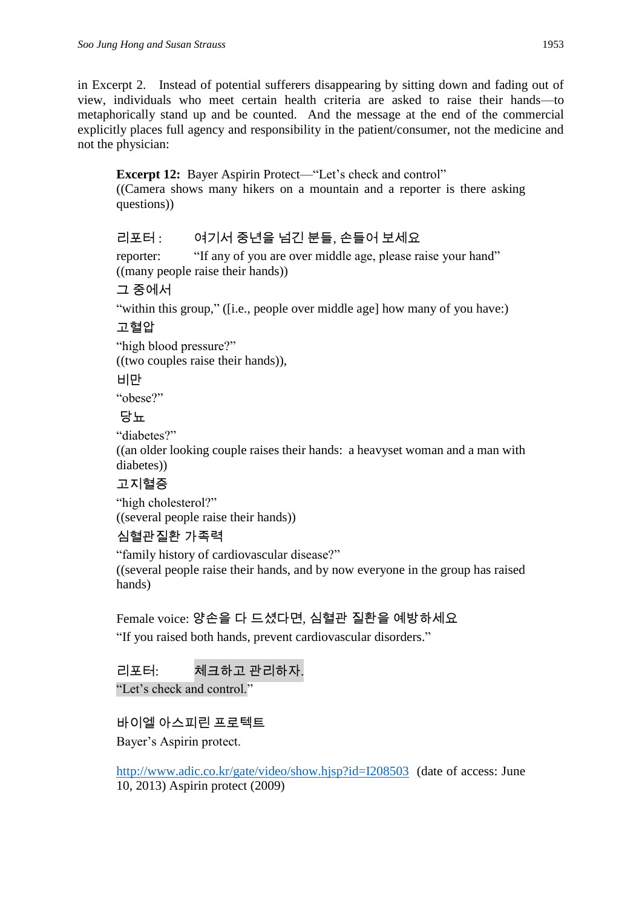in Excerpt 2. Instead of potential sufferers disappearing by sitting down and fading out of view, individuals who meet certain health criteria are asked to raise their hands—to metaphorically stand up and be counted. And the message at the end of the commercial explicitly places full agency and responsibility in the patient/consumer, not the medicine and not the physician:

**Excerpt 12:** Bayer Aspirin Protect—"Let's check and control" ((Camera shows many hikers on a mountain and a reporter is there asking questions))

# 리포터 : 여기서 중년을 넘긴 분들, 손들어 보세요

reporter: "If any of you are over middle age, please raise your hand" ((many people raise their hands))

그 중에서

"within this group," ([i.e., people over middle age] how many of you have:)

고혈압

"high blood pressure?"

((two couples raise their hands)),

비만

"obese?"

당뇨

"diabetes?"

((an older looking couple raises their hands: a heavyset woman and a man with diabetes))

# 고지혈증

"high cholesterol?" ((several people raise their hands))

# 심혈관질환 가족력

"family history of cardiovascular disease?" ((several people raise their hands, and by now everyone in the group has raised hands)

# Female voice: 양손을 다 드셨다면, 심혈관 질환을 예방하세요

"If you raised both hands, prevent cardiovascular disorders."

리포터: 체크하고 관리하자.

"Let's check and control."

바이엘 아스피린 프로텍트

Bayer's Aspirin protect.

<http://www.adic.co.kr/gate/video/show.hjsp?id=I208503>(date of access: June 10, 2013) Aspirin protect (2009)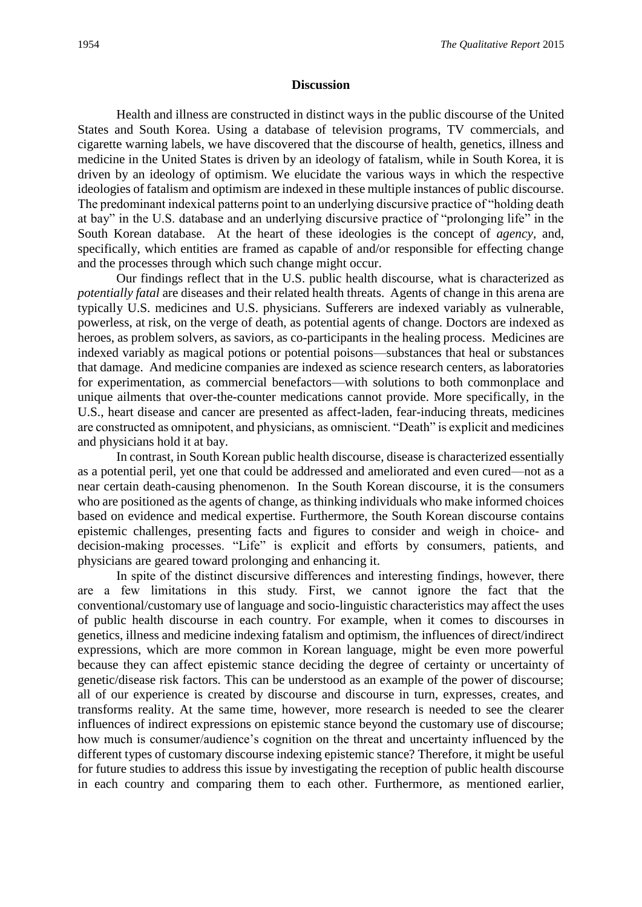#### **Discussion**

Health and illness are constructed in distinct ways in the public discourse of the United States and South Korea. Using a database of television programs, TV commercials, and cigarette warning labels, we have discovered that the discourse of health, genetics, illness and medicine in the United States is driven by an ideology of fatalism, while in South Korea, it is driven by an ideology of optimism. We elucidate the various ways in which the respective ideologies of fatalism and optimism are indexed in these multiple instances of public discourse. The predominant indexical patterns point to an underlying discursive practice of "holding death at bay" in the U.S. database and an underlying discursive practice of "prolonging life" in the South Korean database. At the heart of these ideologies is the concept of *agency,* and, specifically, which entities are framed as capable of and/or responsible for effecting change and the processes through which such change might occur.

Our findings reflect that in the U.S. public health discourse, what is characterized as *potentially fatal* are diseases and their related health threats. Agents of change in this arena are typically U.S. medicines and U.S. physicians. Sufferers are indexed variably as vulnerable, powerless, at risk, on the verge of death, as potential agents of change. Doctors are indexed as heroes, as problem solvers, as saviors, as co-participants in the healing process. Medicines are indexed variably as magical potions or potential poisons—substances that heal or substances that damage. And medicine companies are indexed as science research centers, as laboratories for experimentation, as commercial benefactors—with solutions to both commonplace and unique ailments that over-the-counter medications cannot provide. More specifically, in the U.S., heart disease and cancer are presented as affect-laden, fear-inducing threats, medicines are constructed as omnipotent, and physicians, as omniscient. "Death" is explicit and medicines and physicians hold it at bay.

In contrast, in South Korean public health discourse, disease is characterized essentially as a potential peril, yet one that could be addressed and ameliorated and even cured—not as a near certain death-causing phenomenon. In the South Korean discourse, it is the consumers who are positioned as the agents of change, as thinking individuals who make informed choices based on evidence and medical expertise. Furthermore, the South Korean discourse contains epistemic challenges, presenting facts and figures to consider and weigh in choice- and decision-making processes. "Life" is explicit and efforts by consumers, patients, and physicians are geared toward prolonging and enhancing it.

In spite of the distinct discursive differences and interesting findings, however, there are a few limitations in this study. First, we cannot ignore the fact that the conventional/customary use of language and socio-linguistic characteristics may affect the uses of public health discourse in each country. For example, when it comes to discourses in genetics, illness and medicine indexing fatalism and optimism, the influences of direct/indirect expressions, which are more common in Korean language, might be even more powerful because they can affect epistemic stance deciding the degree of certainty or uncertainty of genetic/disease risk factors. This can be understood as an example of the power of discourse; all of our experience is created by discourse and discourse in turn, expresses, creates, and transforms reality. At the same time, however, more research is needed to see the clearer influences of indirect expressions on epistemic stance beyond the customary use of discourse; how much is consumer/audience's cognition on the threat and uncertainty influenced by the different types of customary discourse indexing epistemic stance? Therefore, it might be useful for future studies to address this issue by investigating the reception of public health discourse in each country and comparing them to each other. Furthermore, as mentioned earlier,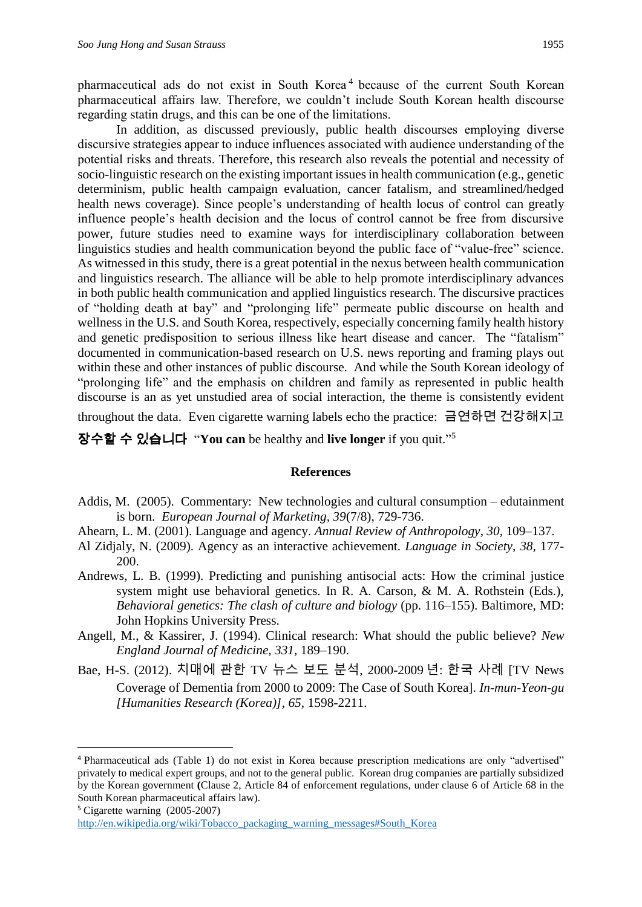pharmaceutical ads do not exist in South Korea<sup>4</sup> because of the current South Korean pharmaceutical affairs law. Therefore, we couldn't include South Korean health discourse regarding statin drugs, and this can be one of the limitations.

In addition, as discussed previously, public health discourses employing diverse discursive strategies appear to induce influences associated with audience understanding of the potential risks and threats. Therefore, this research also reveals the potential and necessity of socio-linguistic research on the existing important issues in health communication (e.g., genetic determinism, public health campaign evaluation, cancer fatalism, and streamlined/hedged health news coverage). Since people's understanding of health locus of control can greatly influence people's health decision and the locus of control cannot be free from discursive power, future studies need to examine ways for interdisciplinary collaboration between linguistics studies and health communication beyond the public face of "value-free" science. As witnessed in this study, there is a great potential in the nexus between health communication and linguistics research. The alliance will be able to help promote interdisciplinary advances in both public health communication and applied linguistics research. The discursive practices of "holding death at bay" and "prolonging life" permeate public discourse on health and wellness in the U.S. and South Korea, respectively, especially concerning family health history and genetic predisposition to serious illness like heart disease and cancer. The "fatalism" documented in communication-based research on U.S. news reporting and framing plays out within these and other instances of public discourse. And while the South Korean ideology of "prolonging life" and the emphasis on children and family as represented in public health discourse is an as yet unstudied area of social interaction, the theme is consistently evident throughout the data. Even cigarette warning labels echo the practice: 금연하면 건강해지고

장수할 수 있습니다 "**You can** be healthy and **live longer** if you quit." 5

#### **References**

- Addis, M. (2005). Commentary: New technologies and cultural consumption edutainment is born. *European Journal of Marketing, 39*(7/8), 729-736.
- Ahearn, L. M. (2001). Language and agency. *Annual Review of Anthropology, 30,* 109–137.
- Al Zidjaly, N. (2009). Agency as an interactive achievement. *Language in Society, 38,* 177- 200.
- Andrews, L. B. (1999). Predicting and punishing antisocial acts: How the criminal justice system might use behavioral genetics. In R. A. Carson, & M. A. Rothstein (Eds.), *Behavioral genetics: The clash of culture and biology* (pp. 116–155). Baltimore, MD: John Hopkins University Press.
- Angell, M., & Kassirer, J. (1994). Clinical research: What should the public believe? *New England Journal of Medicine, 331,* 189–190.
- Bae, H-S. (2012). 치매에 관한 TV 뉴스 보도 분석, 2000-2009 년: 한국 사례 [TV News Coverage of Dementia from 2000 to 2009: The Case of South Korea]*. In-mun-Yeon-gu [Humanities Research (Korea)], 65,* 1598-2211.

 $\overline{a}$ 

<sup>4</sup> Pharmaceutical ads (Table 1) do not exist in Korea because prescription medications are only "advertised" privately to medical expert groups, and not to the general public. Korean drug companies are partially subsidized by the Korean government **(**Clause 2, Article 84 of enforcement regulations, under clause 6 of Article 68 in the South Korean pharmaceutical affairs law).

<sup>5</sup> Cigarette warning (2005-2007)

[http://en.wikipedia.org/wiki/Tobacco\\_packaging\\_warning\\_messages#South\\_Korea](http://en.wikipedia.org/wiki/Tobacco_packaging_warning_messages#South_Korea)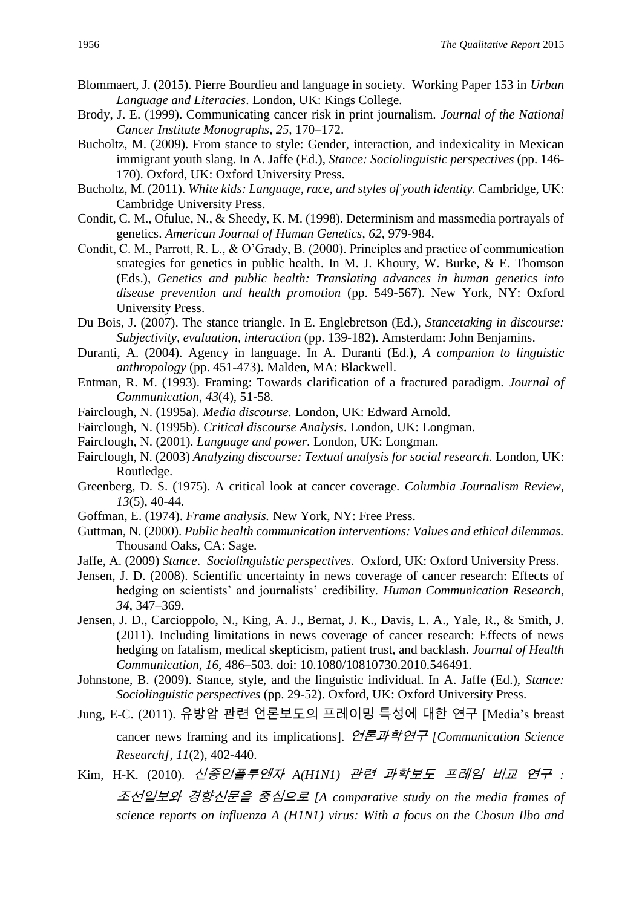- Blommaert, J. (2015). Pierre Bourdieu and language in society. Working Paper 153 in *Urban Language and Literacies*. London, UK: Kings College.
- Brody, J. E. (1999). Communicating cancer risk in print journalism. *Journal of the National Cancer Institute Monographs, 25,* 170–172.
- Bucholtz, M. (2009). From stance to style: Gender, interaction, and indexicality in Mexican immigrant youth slang. In A. Jaffe (Ed.), *Stance: Sociolinguistic perspectives* (pp. 146- 170). Oxford, UK: Oxford University Press.
- Bucholtz, M. (2011). *White kids: Language, race, and styles of youth identity.* Cambridge, UK: Cambridge University Press.
- Condit, C. M., Ofulue, N., & Sheedy, K. M. (1998). Determinism and massmedia portrayals of genetics. *American Journal of Human Genetics*, *62*, 979-984.
- Condit, C. M., Parrott, R. L., & O'Grady, B. (2000). Principles and practice of communication strategies for genetics in public health. In M. J. Khoury, W. Burke, & E. Thomson (Eds.), *Genetics and public health: Translating advances in human genetics into disease prevention and health promotion* (pp. 549-567). New York, NY: Oxford University Press.
- Du Bois, J. (2007). The stance triangle. In E. Englebretson (Ed.), *Stancetaking in discourse: Subjectivity, evaluation, interaction* (pp. 139-182). Amsterdam: John Benjamins.
- Duranti, A. (2004). Agency in language. In A. Duranti (Ed.), *A companion to linguistic anthropology* (pp. 451-473). Malden, MA: Blackwell.
- Entman, R. M. (1993). Framing: Towards clarification of a fractured paradigm*. Journal of Communication*, *43*(4), 51-58.
- Fairclough, N. (1995a). *Media discourse.* London, UK: Edward Arnold.
- Fairclough, N. (1995b). *Critical discourse Analysis*. London, UK: Longman.
- Fairclough, N. (2001). *Language and power*. London, UK: Longman.
- Fairclough, N. (2003) *Analyzing discourse: Textual analysis for social research.* London, UK: Routledge.
- Greenberg, D. S. (1975). A critical look at cancer coverage. *Columbia Journalism Review, 13*(5), 40-44.
- Goffman, E. (1974). *Frame analysis.* New York, NY: Free Press.
- Guttman, N. (2000). *Public health communication interventions: Values and ethical dilemmas.* Thousand Oaks, CA: Sage.
- Jaffe, A. (2009) *Stance*. *Sociolinguistic perspectives*. Oxford, UK: Oxford University Press.
- Jensen, J. D. (2008). Scientific uncertainty in news coverage of cancer research: Effects of hedging on scientists' and journalists' credibility. *Human Communication Research, 34*, 347–369.
- Jensen, J. D., Carcioppolo, N., King, A. J., Bernat, J. K., Davis, L. A., Yale, R., & Smith, J. (2011). Including limitations in news coverage of cancer research: Effects of news hedging on fatalism, medical skepticism, patient trust, and backlash. *Journal of Health Communication, 16*, 486–503. doi: 10.1080/10810730.2010.546491.
- Johnstone, B. (2009). Stance, style, and the linguistic individual. In A. Jaffe (Ed.), *Stance: Sociolinguistic perspectives* (pp. 29-52). Oxford, UK: Oxford University Press.
- Jung, E-C. (2011). 유방암 관련 언론보도의 프레이밍 특성에 대한 연구 [Media's breast

cancer news framing and its implications]. 언론과학연구 *[Communication Science Research], 11*(2), 402-440.

Kim, H-K. (2010). 신종인플루엔자 *A(H1N1)* 관련 과학보도 프레임 비교 연구 *:* 

<sup>조</sup>선일보와 경향신문을 중심으로 *[A comparative study on the media frames of science reports on influenza A (H1N1) virus: With a focus on the Chosun Ilbo and*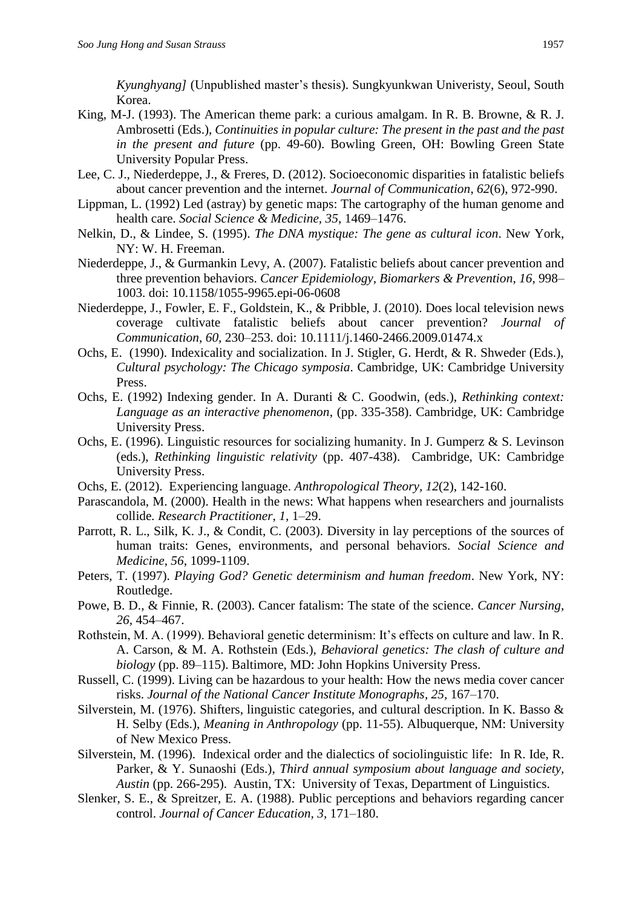*Kyunghyang]* (Unpublished master's thesis). Sungkyunkwan Univeristy, Seoul, South Korea.

- King, M-J. (1993). The American theme park: a curious amalgam. In R. B. Browne, & R. J. Ambrosetti (Eds.), *Continuities in popular culture: The present in the past and the past in the present and future* (pp. 49-60). Bowling Green, OH: Bowling Green State University Popular Press.
- Lee, C. J., Niederdeppe, J., & Freres, D. (2012). Socioeconomic disparities in fatalistic beliefs about cancer prevention and the internet. *Journal of Communication*, *62*(6), 972-990.
- Lippman, L. (1992) Led (astray) by genetic maps: The cartography of the human genome and health care. *Social Science & Medicine, 35*, 1469–1476.
- Nelkin, D., & Lindee, S. (1995). *The DNA mystique: The gene as cultural icon*. New York, NY: W. H. Freeman.
- Niederdeppe, J., & Gurmankin Levy, A. (2007). Fatalistic beliefs about cancer prevention and three prevention behaviors. *Cancer Epidemiology, Biomarkers & Prevention*, *16,* 998– 1003. doi: 10.1158/1055-9965.epi-06-0608
- Niederdeppe, J., Fowler, E. F., Goldstein, K., & Pribble, J. (2010). Does local television news coverage cultivate fatalistic beliefs about cancer prevention? *Journal of Communication*, *60,* 230–253. doi: 10.1111/j.1460-2466.2009.01474.x
- Ochs, E. (1990). Indexicality and socialization. In J. Stigler, G. Herdt, & R. Shweder (Eds.), *Cultural psychology: The Chicago symposia*. Cambridge, UK: Cambridge University Press.
- Ochs, E. (1992) Indexing gender. In A. Duranti & C. Goodwin, (eds.), *Rethinking context: Language as an interactive phenomenon*, (pp. 335-358). Cambridge, UK: Cambridge University Press.
- Ochs, E. (1996). [Linguistic resources for socializing humanity.](http://www.sscnet.ucla.edu/anthro/faculty/ochs/articles/96soc_hum.pdf) In J. Gumperz & S. Levinson (eds.), *Rethinking linguistic relativity* (pp. 407-438). Cambridge, UK: Cambridge University Press.
- Ochs, E. (2012). Experiencing language. *Anthropological Theory, 12*(2), 142-160.
- Parascandola, M. (2000). Health in the news: What happens when researchers and journalists collide*. Research Practitioner, 1,* 1–29.
- Parrott, R. L., Silk, K. J., & Condit, C. (2003). Diversity in lay perceptions of the sources of human traits: Genes, environments, and personal behaviors. *Social Science and Medicine*, *56*, 1099-1109.
- Peters, T. (1997). *Playing God? Genetic determinism and human freedom*. New York, NY: Routledge.
- Powe, B. D., & Finnie, R. (2003). Cancer fatalism: The state of the science. *Cancer Nursing, 26,* 454–467.
- Rothstein, M. A. (1999). Behavioral genetic determinism: It's effects on culture and law. In R. A. Carson, & M. A. Rothstein (Eds.), *Behavioral genetics: The clash of culture and biology* (pp. 89–115). Baltimore, MD: John Hopkins University Press.
- Russell, C. (1999). Living can be hazardous to your health: How the news media cover cancer risks. *Journal of the National Cancer Institute Monographs, 25,* 167–170.
- Silverstein, M. (1976). Shifters, linguistic categories, and cultural description. In K. Basso & H. Selby (Eds.), *Meaning in Anthropology* (pp. 11-55). Albuquerque, NM: University of New Mexico Press.
- Silverstein, M. (1996). Indexical order and the dialectics of sociolinguistic life: In R. Ide, R. Parker, & Y. Sunaoshi (Eds.), *Third annual symposium about language and society, Austin* (pp. 266-295). Austin, TX: University of Texas, Department of Linguistics.
- Slenker, S. E., & Spreitzer, E. A. (1988). Public perceptions and behaviors regarding cancer control. *Journal of Cancer Education, 3,* 171–180.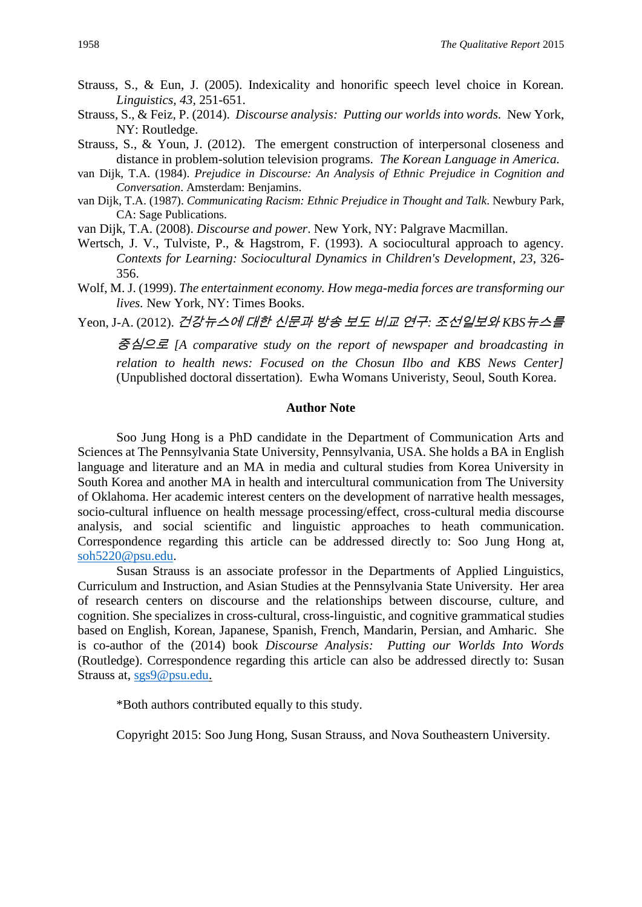- Strauss, S., & Eun, J. (2005). Indexicality and honorific speech level choice in Korean. *Linguistics, 43,* 251-651.
- Strauss, S., & Feiz, P. (2014). *Discourse analysis: Putting our worlds into words.* New York, NY: Routledge.
- Strauss, S., & Youn, J. (2012). The emergent construction of interpersonal closeness and distance in problem-solution television programs. *The Korean Language in America.*
- van Dijk, T.A. (1984). *Prejudice in Discourse: An Analysis of Ethnic Prejudice in Cognition and Conversation*. Amsterdam: Benjamins.
- van Dijk, T.A. (1987). *Communicating Racism: Ethnic Prejudice in Thought and Talk*. Newbury Park, CA: Sage Publications.
- van Dijk, T.A. (2008). *Discourse and power*. New York, NY: Palgrave Macmillan.
- Wertsch, J. V., Tulviste, P., & Hagstrom, F. (1993). A sociocultural approach to agency. *Contexts for Learning: Sociocultural Dynamics in Children's Development*, *23*, 326- 356.
- Wolf, M. J. (1999). *The entertainment economy. How mega-media forces are transforming our lives.* New York, NY: Times Books.

Yeon, J-A. (2012). 건강뉴스에 대한 신문과 방송 보도 비교 연구*:* 조선일보와 *KBS*뉴스를

중심으로 *[A comparative study on the report of newspaper and broadcasting in relation to health news: Focused on the Chosun Ilbo and KBS News Center]* (Unpublished doctoral dissertation). Ewha Womans Univeristy, Seoul, South Korea.

#### **Author Note**

Soo Jung Hong is a PhD candidate in the Department of Communication Arts and Sciences at The Pennsylvania State University, Pennsylvania, USA. She holds a BA in English language and literature and an MA in media and cultural studies from Korea University in South Korea and another MA in health and intercultural communication from The University of Oklahoma. Her academic interest centers on the development of narrative health messages, socio-cultural influence on health message processing/effect, cross-cultural media discourse analysis, and social scientific and linguistic approaches to heath communication. Correspondence regarding this article can be addressed directly to: Soo Jung Hong at, [soh5220@psu.edu.](mailto:soh5220@psu.edu)

Susan Strauss is an associate professor in the Departments of Applied Linguistics, Curriculum and Instruction, and Asian Studies at the Pennsylvania State University. Her area of research centers on discourse and the relationships between discourse, culture, and cognition. She specializes in cross-cultural, cross-linguistic, and cognitive grammatical studies based on English, Korean, Japanese, Spanish, French, Mandarin, Persian, and Amharic. She is co-author of the (2014) book *Discourse Analysis: Putting our Worlds Into Words* (Routledge). Correspondence regarding this article can also be addressed directly to: Susan Strauss at, [sgs9@psu.edu.](mailto:sgs9@psu.edu)

\*Both authors contributed equally to this study.

Copyright 2015: Soo Jung Hong, Susan Strauss, and Nova Southeastern University.